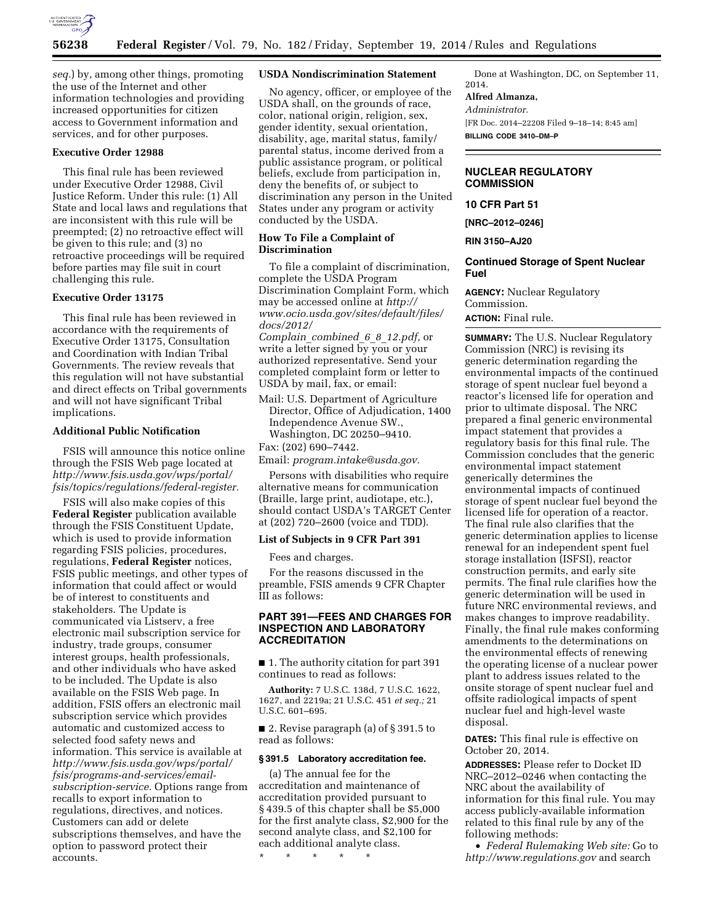

*seq.*) by, among other things, promoting the use of the Internet and other information technologies and providing increased opportunities for citizen access to Government information and services, and for other purposes.

# **Executive Order 12988**

This final rule has been reviewed under Executive Order 12988, Civil Justice Reform. Under this rule: (1) All State and local laws and regulations that are inconsistent with this rule will be preempted; (2) no retroactive effect will be given to this rule; and (3) no retroactive proceedings will be required before parties may file suit in court challenging this rule.

### **Executive Order 13175**

This final rule has been reviewed in accordance with the requirements of Executive Order 13175, Consultation and Coordination with Indian Tribal Governments. The review reveals that this regulation will not have substantial and direct effects on Tribal governments and will not have significant Tribal implications.

### **Additional Public Notification**

FSIS will announce this notice online through the FSIS Web page located at *[http://www.fsis.usda.gov/wps/portal/](http://www.fsis.usda.gov/wps/portal/fsis/topics/regulations/federal-register) [fsis/topics/regulations/federal-register.](http://www.fsis.usda.gov/wps/portal/fsis/topics/regulations/federal-register)* 

FSIS will also make copies of this **Federal Register** publication available through the FSIS Constituent Update, which is used to provide information regarding FSIS policies, procedures, regulations, **Federal Register** notices, FSIS public meetings, and other types of information that could affect or would be of interest to constituents and stakeholders. The Update is communicated via Listserv, a free electronic mail subscription service for industry, trade groups, consumer interest groups, health professionals, and other individuals who have asked to be included. The Update is also available on the FSIS Web page. In addition, FSIS offers an electronic mail subscription service which provides automatic and customized access to selected food safety news and information. This service is available at *[http://www.fsis.usda.gov/wps/portal/](http://www.fsis.usda.gov/wps/portal/fsis/programs-and-services/email-subscription-service) [fsis/programs-and-services/email](http://www.fsis.usda.gov/wps/portal/fsis/programs-and-services/email-subscription-service)[subscription-service.](http://www.fsis.usda.gov/wps/portal/fsis/programs-and-services/email-subscription-service)* Options range from recalls to export information to regulations, directives, and notices. Customers can add or delete subscriptions themselves, and have the option to password protect their accounts.

#### **USDA Nondiscrimination Statement**

No agency, officer, or employee of the USDA shall, on the grounds of race, color, national origin, religion, sex, gender identity, sexual orientation, disability, age, marital status, family/ parental status, income derived from a public assistance program, or political beliefs, exclude from participation in, deny the benefits of, or subject to discrimination any person in the United States under any program or activity conducted by the USDA.

#### **How To File a Complaint of Discrimination**

To file a complaint of discrimination, complete the USDA Program Discrimination Complaint Form, which may be accessed online at *[http://](http://www.ocio.usda.gov/sites/default/files/docs/2012/Complain_combined_6_8_12.pdf)  [www.ocio.usda.gov/sites/default/files/](http://www.ocio.usda.gov/sites/default/files/docs/2012/Complain_combined_6_8_12.pdf) [docs/2012/](http://www.ocio.usda.gov/sites/default/files/docs/2012/Complain_combined_6_8_12.pdf)* 

*Complain*\_*[combined](http://www.ocio.usda.gov/sites/default/files/docs/2012/Complain_combined_6_8_12.pdf)*\_*6*\_*8*\_*12.pdf,* or write a letter signed by you or your authorized representative. Send your completed complaint form or letter to USDA by mail, fax, or email:

Mail: U.S. Department of Agriculture Director, Office of Adjudication, 1400 Independence Avenue SW., Washington, DC 20250–9410. Fax: (202) 690–7442.

Email: *[program.intake@usda.gov.](mailto:program.intake@usda.gov)* 

Persons with disabilities who require alternative means for communication (Braille, large print, audiotape, etc.), should contact USDA's TARGET Center at (202) 720–2600 (voice and TDD).

### **List of Subjects in 9 CFR Part 391**

Fees and charges.

For the reasons discussed in the preamble, FSIS amends 9 CFR Chapter III as follows:

## **PART 391—FEES AND CHARGES FOR INSPECTION AND LABORATORY ACCREDITATION**

■ 1. The authority citation for part 391 continues to read as follows:

**Authority:** 7 U.S.C. 138d, 7 U.S.C. 1622, 1627, and 2219a; 21 U.S.C. 451 *et seq.;* 21 U.S.C. 601–695.

■ 2. Revise paragraph (a) of § 391.5 to read as follows:

#### **§ 391.5 Laboratory accreditation fee.**

(a) The annual fee for the accreditation and maintenance of accreditation provided pursuant to § 439.5 of this chapter shall be \$5,000 for the first analyte class, \$2,900 for the second analyte class, and \$2,100 for each additional analyte class.

\* \* \* \* \*

Done at Washington, DC, on September 11, 2014.

# **Alfred Almanza,**

*Administrator.* 

[FR Doc. 2014–22208 Filed 9–18–14; 8:45 am] **BILLING CODE 3410–DM–P** 

### **NUCLEAR REGULATORY COMMISSION**

# **10 CFR Part 51**

**[NRC–2012–0246]** 

## **RIN 3150–AJ20**

## **Continued Storage of Spent Nuclear Fuel**

**AGENCY:** Nuclear Regulatory Commission. **ACTION:** Final rule.

**SUMMARY:** The U.S. Nuclear Regulatory Commission (NRC) is revising its generic determination regarding the environmental impacts of the continued storage of spent nuclear fuel beyond a reactor's licensed life for operation and prior to ultimate disposal. The NRC prepared a final generic environmental impact statement that provides a regulatory basis for this final rule. The Commission concludes that the generic environmental impact statement generically determines the environmental impacts of continued storage of spent nuclear fuel beyond the licensed life for operation of a reactor. The final rule also clarifies that the generic determination applies to license renewal for an independent spent fuel storage installation (ISFSI), reactor construction permits, and early site permits. The final rule clarifies how the generic determination will be used in future NRC environmental reviews, and makes changes to improve readability. Finally, the final rule makes conforming amendments to the determinations on the environmental effects of renewing the operating license of a nuclear power plant to address issues related to the onsite storage of spent nuclear fuel and offsite radiological impacts of spent nuclear fuel and high-level waste disposal.

**DATES:** This final rule is effective on October 20, 2014.

**ADDRESSES:** Please refer to Docket ID NRC–2012–0246 when contacting the NRC about the availability of information for this final rule. You may access publicly-available information related to this final rule by any of the following methods:

• *Federal Rulemaking Web site:* Go to *<http://www.regulations.gov>* and search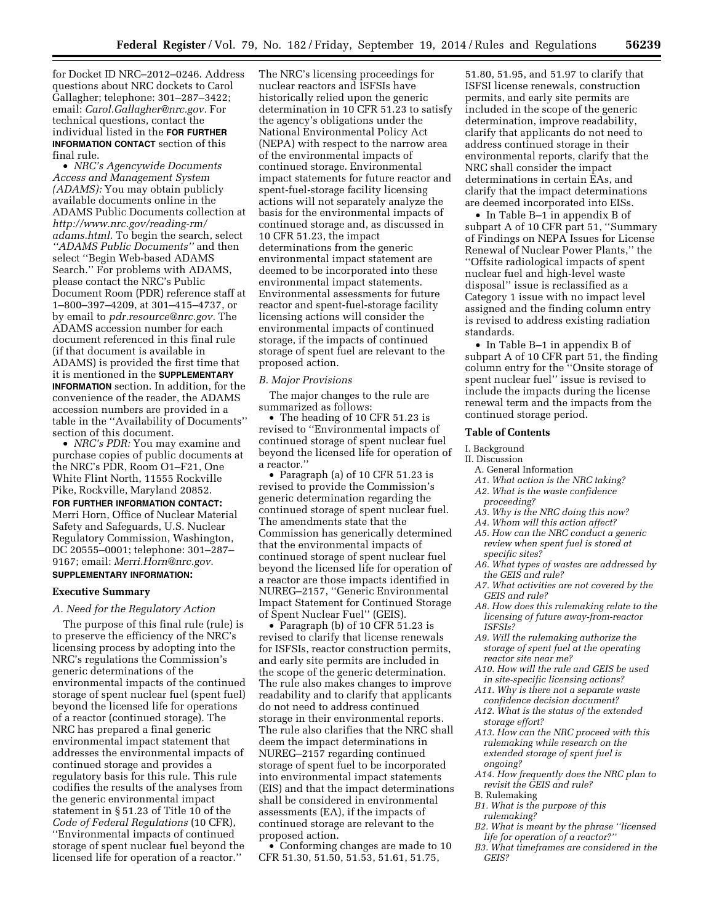for Docket ID NRC–2012–0246. Address questions about NRC dockets to Carol Gallagher; telephone: 301–287–3422; email: *[Carol.Gallagher@nrc.gov.](mailto:Carol.Gallagher@nrc.gov)* For technical questions, contact the individual listed in the **FOR FURTHER INFORMATION CONTACT** section of this final rule.

• *NRC's Agencywide Documents Access and Management System (ADAMS):* You may obtain publicly available documents online in the ADAMS Public Documents collection at *[http://www.nrc.gov/reading-rm/](http://www.nrc.gov/reading-rm/adams.html) [adams.html.](http://www.nrc.gov/reading-rm/adams.html)* To begin the search, select *''ADAMS Public Documents''* and then select ''Begin Web-based ADAMS Search.'' For problems with ADAMS, please contact the NRC's Public Document Room (PDR) reference staff at 1–800–397–4209, at 301–415–4737, or by email to *[pdr.resource@nrc.gov.](mailto:pdr.resource@nrc.gov)* The ADAMS accession number for each document referenced in this final rule (if that document is available in ADAMS) is provided the first time that it is mentioned in the **SUPPLEMENTARY INFORMATION** section. In addition, for the convenience of the reader, the ADAMS accession numbers are provided in a table in the ''Availability of Documents'' section of this document.

• *NRC's PDR:* You may examine and purchase copies of public documents at the NRC's PDR, Room O1–F21, One White Flint North, 11555 Rockville Pike, Rockville, Maryland 20852.

### **FOR FURTHER INFORMATION CONTACT:**

Merri Horn, Office of Nuclear Material Safety and Safeguards, U.S. Nuclear Regulatory Commission, Washington, DC 20555–0001; telephone: 301–287– 9167; email: *[Merri.Horn@nrc.gov.](mailto:Merri.Horn@nrc.gov)* 

# **SUPPLEMENTARY INFORMATION:**

#### **Executive Summary**

#### *A. Need for the Regulatory Action*

The purpose of this final rule (rule) is to preserve the efficiency of the NRC's licensing process by adopting into the NRC's regulations the Commission's generic determinations of the environmental impacts of the continued storage of spent nuclear fuel (spent fuel) beyond the licensed life for operations of a reactor (continued storage). The NRC has prepared a final generic environmental impact statement that addresses the environmental impacts of continued storage and provides a regulatory basis for this rule. This rule codifies the results of the analyses from the generic environmental impact statement in § 51.23 of Title 10 of the *Code of Federal Regulations* (10 CFR), ''Environmental impacts of continued storage of spent nuclear fuel beyond the licensed life for operation of a reactor.''

The NRC's licensing proceedings for nuclear reactors and ISFSIs have historically relied upon the generic determination in 10 CFR 51.23 to satisfy the agency's obligations under the National Environmental Policy Act (NEPA) with respect to the narrow area of the environmental impacts of continued storage. Environmental impact statements for future reactor and spent-fuel-storage facility licensing actions will not separately analyze the basis for the environmental impacts of continued storage and, as discussed in 10 CFR 51.23, the impact determinations from the generic environmental impact statement are deemed to be incorporated into these environmental impact statements. Environmental assessments for future reactor and spent-fuel-storage facility licensing actions will consider the environmental impacts of continued storage, if the impacts of continued storage of spent fuel are relevant to the proposed action.

#### *B. Major Provisions*

The major changes to the rule are summarized as follows:

• The heading of 10 CFR 51.23 is revised to ''Environmental impacts of continued storage of spent nuclear fuel beyond the licensed life for operation of a reactor.''

• Paragraph (a) of 10 CFR 51.23 is revised to provide the Commission's generic determination regarding the continued storage of spent nuclear fuel. The amendments state that the Commission has generically determined that the environmental impacts of continued storage of spent nuclear fuel beyond the licensed life for operation of a reactor are those impacts identified in NUREG–2157, ''Generic Environmental Impact Statement for Continued Storage of Spent Nuclear Fuel'' (GEIS).

• Paragraph (b) of 10 CFR 51.23 is revised to clarify that license renewals for ISFSIs, reactor construction permits, and early site permits are included in the scope of the generic determination. The rule also makes changes to improve readability and to clarify that applicants do not need to address continued storage in their environmental reports. The rule also clarifies that the NRC shall deem the impact determinations in NUREG–2157 regarding continued storage of spent fuel to be incorporated into environmental impact statements (EIS) and that the impact determinations shall be considered in environmental assessments (EA), if the impacts of continued storage are relevant to the proposed action.

• Conforming changes are made to 10 CFR 51.30, 51.50, 51.53, 51.61, 51.75,

51.80, 51.95, and 51.97 to clarify that ISFSI license renewals, construction permits, and early site permits are included in the scope of the generic determination, improve readability, clarify that applicants do not need to address continued storage in their environmental reports, clarify that the NRC shall consider the impact determinations in certain EAs, and clarify that the impact determinations are deemed incorporated into EISs.

• In Table B–1 in appendix B of subpart A of 10 CFR part 51, ''Summary of Findings on NEPA Issues for License Renewal of Nuclear Power Plants,'' the ''Offsite radiological impacts of spent nuclear fuel and high-level waste disposal'' issue is reclassified as a Category 1 issue with no impact level assigned and the finding column entry is revised to address existing radiation standards.

• In Table B–1 in appendix B of subpart A of 10 CFR part 51, the finding column entry for the ''Onsite storage of spent nuclear fuel'' issue is revised to include the impacts during the license renewal term and the impacts from the continued storage period.

#### **Table of Contents**

#### I. Background

- II. Discussion
	- A. General Information
	- *A1. What action is the NRC taking?*
	- *A2. What is the waste confidence*
	- *proceeding?*
	- *A3. Why is the NRC doing this now?*
	- *A4. Whom will this action affect?*
	- *A5. How can the NRC conduct a generic review when spent fuel is stored at specific sites?*
	- *A6. What types of wastes are addressed by the GEIS and rule?*
	- *A7. What activities are not covered by the GEIS and rule?*
	- *A8. How does this rulemaking relate to the licensing of future away-from-reactor ISFSIs?*
	- *A9. Will the rulemaking authorize the storage of spent fuel at the operating reactor site near me?*
	- *A10. How will the rule and GEIS be used in site-specific licensing actions?*
	- *A11. Why is there not a separate waste confidence decision document?*
	- *A12. What is the status of the extended storage effort?*
	- *A13. How can the NRC proceed with this rulemaking while research on the extended storage of spent fuel is ongoing?*
	- *A14. How frequently does the NRC plan to revisit the GEIS and rule?*
- B. Rulemaking
- *B1. What is the purpose of this rulemaking?*
- *B2. What is meant by the phrase ''licensed life for operation of a reactor?''*
- *B3. What timeframes are considered in the GEIS?*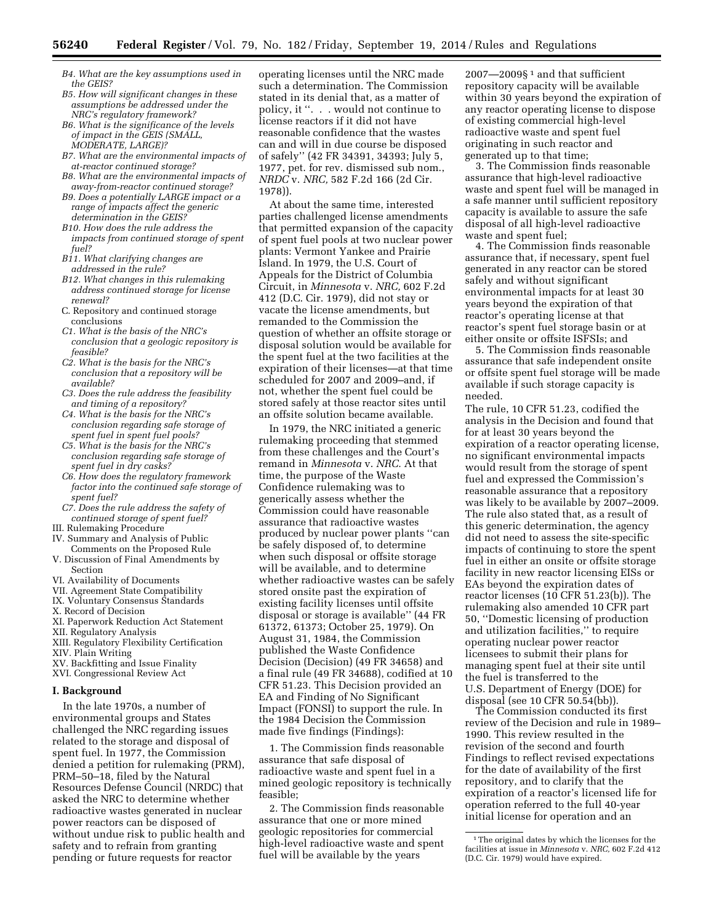- *B4. What are the key assumptions used in the GEIS?*
- *B5. How will significant changes in these assumptions be addressed under the NRC's regulatory framework?*
- *B6. What is the significance of the levels of impact in the GEIS (SMALL, MODERATE, LARGE)?*
- *B7. What are the environmental impacts of at-reactor continued storage?*
- *B8. What are the environmental impacts of away-from-reactor continued storage?*
- *B9. Does a potentially LARGE impact or a range of impacts affect the generic determination in the GEIS?*
- *B10. How does the rule address the impacts from continued storage of spent fuel?*
- *B11. What clarifying changes are addressed in the rule?*
- *B12. What changes in this rulemaking address continued storage for license renewal?*
- C. Repository and continued storage conclusions
- *C1. What is the basis of the NRC's conclusion that a geologic repository is feasible?*
- *C2. What is the basis for the NRC's conclusion that a repository will be available?*
- *C3. Does the rule address the feasibility and timing of a repository?*
- *C4. What is the basis for the NRC's conclusion regarding safe storage of spent fuel in spent fuel pools?*
- *C5. What is the basis for the NRC's conclusion regarding safe storage of spent fuel in dry casks?*
- *C6. How does the regulatory framework factor into the continued safe storage of spent fuel?*
- *C7. Does the rule address the safety of continued storage of spent fuel?*
- III. Rulemaking Procedure
- IV. Summary and Analysis of Public Comments on the Proposed Rule
- V. Discussion of Final Amendments by Section
- VI. Availability of Documents
- VII. Agreement State Compatibility
- IX. Voluntary Consensus Standards
- X. Record of Decision
- XI. Paperwork Reduction Act Statement
- XII. Regulatory Analysis
- XIII. Regulatory Flexibility Certification XIV. Plain Writing
- XV. Backfitting and Issue Finality
- XVI. Congressional Review Act

#### **I. Background**

In the late 1970s, a number of environmental groups and States challenged the NRC regarding issues related to the storage and disposal of spent fuel. In 1977, the Commission denied a petition for rulemaking (PRM), PRM–50–18, filed by the Natural Resources Defense Council (NRDC) that asked the NRC to determine whether radioactive wastes generated in nuclear power reactors can be disposed of without undue risk to public health and safety and to refrain from granting pending or future requests for reactor

operating licenses until the NRC made such a determination. The Commission stated in its denial that, as a matter of policy, it ''. . . would not continue to license reactors if it did not have reasonable confidence that the wastes can and will in due course be disposed of safely'' (42 FR 34391, 34393; July 5, 1977, pet. for rev. dismissed sub nom., *NRDC* v. *NRC,* 582 F.2d 166 (2d Cir. 1978)).

At about the same time, interested parties challenged license amendments that permitted expansion of the capacity of spent fuel pools at two nuclear power plants: Vermont Yankee and Prairie Island. In 1979, the U.S. Court of Appeals for the District of Columbia Circuit, in *Minnesota* v. *NRC,* 602 F.2d 412 (D.C. Cir. 1979), did not stay or vacate the license amendments, but remanded to the Commission the question of whether an offsite storage or disposal solution would be available for the spent fuel at the two facilities at the expiration of their licenses—at that time scheduled for 2007 and 2009–and, if not, whether the spent fuel could be stored safely at those reactor sites until an offsite solution became available.

In 1979, the NRC initiated a generic rulemaking proceeding that stemmed from these challenges and the Court's remand in *Minnesota* v. *NRC.* At that time, the purpose of the Waste Confidence rulemaking was to generically assess whether the Commission could have reasonable assurance that radioactive wastes produced by nuclear power plants ''can be safely disposed of, to determine when such disposal or offsite storage will be available, and to determine whether radioactive wastes can be safely stored onsite past the expiration of existing facility licenses until offsite disposal or storage is available'' (44 FR 61372, 61373; October 25, 1979). On August 31, 1984, the Commission published the Waste Confidence Decision (Decision) (49 FR 34658) and a final rule (49 FR 34688), codified at 10 CFR 51.23. This Decision provided an EA and Finding of No Significant Impact (FONSI) to support the rule. In the 1984 Decision the Commission made five findings (Findings):

1. The Commission finds reasonable assurance that safe disposal of radioactive waste and spent fuel in a mined geologic repository is technically feasible;

2. The Commission finds reasonable assurance that one or more mined geologic repositories for commercial high-level radioactive waste and spent fuel will be available by the years

 $2007 - 2009$ §<sup>1</sup> and that sufficient repository capacity will be available within 30 years beyond the expiration of any reactor operating license to dispose of existing commercial high-level radioactive waste and spent fuel originating in such reactor and generated up to that time;

3. The Commission finds reasonable assurance that high-level radioactive waste and spent fuel will be managed in a safe manner until sufficient repository capacity is available to assure the safe disposal of all high-level radioactive waste and spent fuel;

4. The Commission finds reasonable assurance that, if necessary, spent fuel generated in any reactor can be stored safely and without significant environmental impacts for at least 30 years beyond the expiration of that reactor's operating license at that reactor's spent fuel storage basin or at either onsite or offsite ISFSIs; and

5. The Commission finds reasonable assurance that safe independent onsite or offsite spent fuel storage will be made available if such storage capacity is needed.

The rule, 10 CFR 51.23, codified the analysis in the Decision and found that for at least 30 years beyond the expiration of a reactor operating license, no significant environmental impacts would result from the storage of spent fuel and expressed the Commission's reasonable assurance that a repository was likely to be available by 2007–2009. The rule also stated that, as a result of this generic determination, the agency did not need to assess the site-specific impacts of continuing to store the spent fuel in either an onsite or offsite storage facility in new reactor licensing EISs or EAs beyond the expiration dates of reactor licenses (10 CFR 51.23(b)). The rulemaking also amended 10 CFR part 50, ''Domestic licensing of production and utilization facilities,'' to require operating nuclear power reactor licensees to submit their plans for managing spent fuel at their site until the fuel is transferred to the U.S. Department of Energy (DOE) for disposal (see 10 CFR 50.54(bb)).

The Commission conducted its first review of the Decision and rule in 1989– 1990. This review resulted in the revision of the second and fourth Findings to reflect revised expectations for the date of availability of the first repository, and to clarify that the expiration of a reactor's licensed life for operation referred to the full 40-year initial license for operation and an

<sup>&</sup>lt;sup>1</sup>The original dates by which the licenses for the facilities at issue in *Minnesota* v. *NRC,* 602 F.2d 412 (D.C. Cir. 1979) would have expired.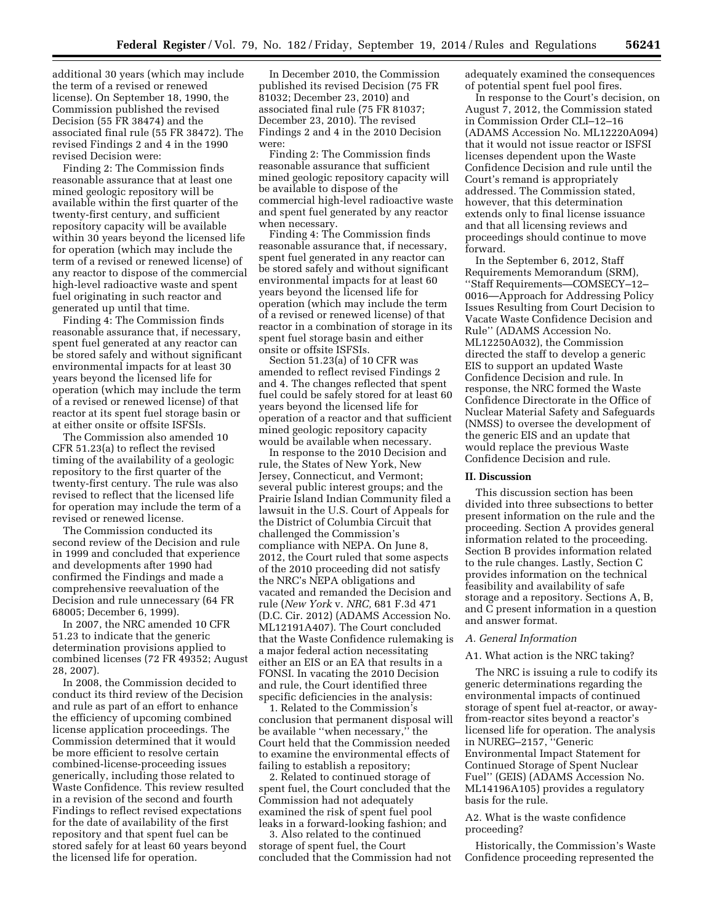additional 30 years (which may include the term of a revised or renewed license). On September 18, 1990, the Commission published the revised Decision (55 FR 38474) and the associated final rule (55 FR 38472). The revised Findings 2 and 4 in the 1990 revised Decision were:

Finding 2: The Commission finds reasonable assurance that at least one mined geologic repository will be available within the first quarter of the twenty-first century, and sufficient repository capacity will be available within 30 years beyond the licensed life for operation (which may include the term of a revised or renewed license) of any reactor to dispose of the commercial high-level radioactive waste and spent fuel originating in such reactor and generated up until that time.

Finding 4: The Commission finds reasonable assurance that, if necessary, spent fuel generated at any reactor can be stored safely and without significant environmental impacts for at least 30 years beyond the licensed life for operation (which may include the term of a revised or renewed license) of that reactor at its spent fuel storage basin or at either onsite or offsite ISFSIs.

The Commission also amended 10 CFR 51.23(a) to reflect the revised timing of the availability of a geologic repository to the first quarter of the twenty-first century. The rule was also revised to reflect that the licensed life for operation may include the term of a revised or renewed license.

The Commission conducted its second review of the Decision and rule in 1999 and concluded that experience and developments after 1990 had confirmed the Findings and made a comprehensive reevaluation of the Decision and rule unnecessary (64 FR 68005; December 6, 1999).

In 2007, the NRC amended 10 CFR 51.23 to indicate that the generic determination provisions applied to combined licenses (72 FR 49352; August 28, 2007).

In 2008, the Commission decided to conduct its third review of the Decision and rule as part of an effort to enhance the efficiency of upcoming combined license application proceedings. The Commission determined that it would be more efficient to resolve certain combined-license-proceeding issues generically, including those related to Waste Confidence. This review resulted in a revision of the second and fourth Findings to reflect revised expectations for the date of availability of the first repository and that spent fuel can be stored safely for at least 60 years beyond the licensed life for operation.

In December 2010, the Commission published its revised Decision (75 FR 81032; December 23, 2010) and associated final rule (75 FR 81037; December 23, 2010). The revised Findings 2 and 4 in the 2010 Decision were:

Finding 2: The Commission finds reasonable assurance that sufficient mined geologic repository capacity will be available to dispose of the commercial high-level radioactive waste and spent fuel generated by any reactor when necessary.

Finding 4: The Commission finds reasonable assurance that, if necessary, spent fuel generated in any reactor can be stored safely and without significant environmental impacts for at least 60 years beyond the licensed life for operation (which may include the term of a revised or renewed license) of that reactor in a combination of storage in its spent fuel storage basin and either onsite or offsite ISFSIs.

Section 51.23(a) of 10 CFR was amended to reflect revised Findings 2 and 4. The changes reflected that spent fuel could be safely stored for at least 60 years beyond the licensed life for operation of a reactor and that sufficient mined geologic repository capacity would be available when necessary.

In response to the 2010 Decision and rule, the States of New York, New Jersey, Connecticut, and Vermont; several public interest groups; and the Prairie Island Indian Community filed a lawsuit in the U.S. Court of Appeals for the District of Columbia Circuit that challenged the Commission's compliance with NEPA. On June 8, 2012, the Court ruled that some aspects of the 2010 proceeding did not satisfy the NRC's NEPA obligations and vacated and remanded the Decision and rule (*New York* v. *NRC,* 681 F.3d 471 (D.C. Cir. 2012) (ADAMS Accession No. ML12191A407). The Court concluded that the Waste Confidence rulemaking is a major federal action necessitating either an EIS or an EA that results in a FONSI. In vacating the 2010 Decision and rule, the Court identified three specific deficiencies in the analysis:

1. Related to the Commission's conclusion that permanent disposal will be available ''when necessary,'' the Court held that the Commission needed to examine the environmental effects of failing to establish a repository;

2. Related to continued storage of spent fuel, the Court concluded that the Commission had not adequately examined the risk of spent fuel pool leaks in a forward-looking fashion; and

3. Also related to the continued storage of spent fuel, the Court concluded that the Commission had not adequately examined the consequences of potential spent fuel pool fires.

In response to the Court's decision, on August 7, 2012, the Commission stated in Commission Order CLI–12–16 (ADAMS Accession No. ML12220A094) that it would not issue reactor or ISFSI licenses dependent upon the Waste Confidence Decision and rule until the Court's remand is appropriately addressed. The Commission stated, however, that this determination extends only to final license issuance and that all licensing reviews and proceedings should continue to move forward.

In the September 6, 2012, Staff Requirements Memorandum (SRM), ''Staff Requirements—COMSECY–12– 0016—Approach for Addressing Policy Issues Resulting from Court Decision to Vacate Waste Confidence Decision and Rule'' (ADAMS Accession No. ML12250A032), the Commission directed the staff to develop a generic EIS to support an updated Waste Confidence Decision and rule. In response, the NRC formed the Waste Confidence Directorate in the Office of Nuclear Material Safety and Safeguards (NMSS) to oversee the development of the generic EIS and an update that would replace the previous Waste Confidence Decision and rule.

#### **II. Discussion**

This discussion section has been divided into three subsections to better present information on the rule and the proceeding. Section A provides general information related to the proceeding. Section B provides information related to the rule changes. Lastly, Section C provides information on the technical feasibility and availability of safe storage and a repository. Sections A, B, and C present information in a question and answer format.

#### *A. General Information*

#### A1. What action is the NRC taking?

The NRC is issuing a rule to codify its generic determinations regarding the environmental impacts of continued storage of spent fuel at-reactor, or awayfrom-reactor sites beyond a reactor's licensed life for operation. The analysis in NUREG–2157, ''Generic Environmental Impact Statement for Continued Storage of Spent Nuclear Fuel'' (GEIS) (ADAMS Accession No. ML14196A105) provides a regulatory basis for the rule.

#### A2. What is the waste confidence proceeding?

Historically, the Commission's Waste Confidence proceeding represented the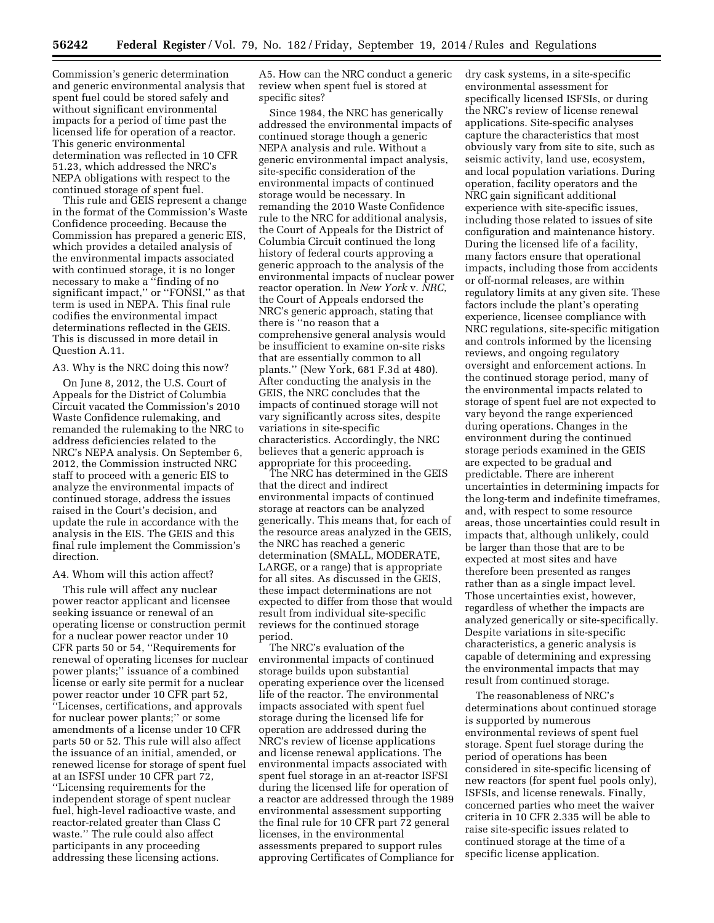Commission's generic determination and generic environmental analysis that spent fuel could be stored safely and without significant environmental impacts for a period of time past the licensed life for operation of a reactor. This generic environmental determination was reflected in 10 CFR 51.23, which addressed the NRC's NEPA obligations with respect to the continued storage of spent fuel.

This rule and GEIS represent a change in the format of the Commission's Waste Confidence proceeding. Because the Commission has prepared a generic EIS, which provides a detailed analysis of the environmental impacts associated with continued storage, it is no longer necessary to make a ''finding of no significant impact,'' or ''FONSI,'' as that term is used in NEPA. This final rule codifies the environmental impact determinations reflected in the GEIS. This is discussed in more detail in Question A.11.

#### A3. Why is the NRC doing this now?

On June 8, 2012, the U.S. Court of Appeals for the District of Columbia Circuit vacated the Commission's 2010 Waste Confidence rulemaking, and remanded the rulemaking to the NRC to address deficiencies related to the NRC's NEPA analysis. On September 6, 2012, the Commission instructed NRC staff to proceed with a generic EIS to analyze the environmental impacts of continued storage, address the issues raised in the Court's decision, and update the rule in accordance with the analysis in the EIS. The GEIS and this final rule implement the Commission's direction.

#### A4. Whom will this action affect?

This rule will affect any nuclear power reactor applicant and licensee seeking issuance or renewal of an operating license or construction permit for a nuclear power reactor under 10 CFR parts 50 or 54, ''Requirements for renewal of operating licenses for nuclear power plants;'' issuance of a combined license or early site permit for a nuclear power reactor under 10 CFR part 52, ''Licenses, certifications, and approvals for nuclear power plants;'' or some amendments of a license under 10 CFR parts 50 or 52. This rule will also affect the issuance of an initial, amended, or renewed license for storage of spent fuel at an ISFSI under 10 CFR part 72, ''Licensing requirements for the independent storage of spent nuclear fuel, high-level radioactive waste, and reactor-related greater than Class C waste.'' The rule could also affect participants in any proceeding addressing these licensing actions.

A5. How can the NRC conduct a generic review when spent fuel is stored at specific sites?

Since 1984, the NRC has generically addressed the environmental impacts of continued storage though a generic NEPA analysis and rule. Without a generic environmental impact analysis, site-specific consideration of the environmental impacts of continued storage would be necessary. In remanding the 2010 Waste Confidence rule to the NRC for additional analysis, the Court of Appeals for the District of Columbia Circuit continued the long history of federal courts approving a generic approach to the analysis of the environmental impacts of nuclear power reactor operation. In *New York* v. *NRC,*  the Court of Appeals endorsed the NRC's generic approach, stating that there is ''no reason that a comprehensive general analysis would be insufficient to examine on-site risks that are essentially common to all plants.'' (New York, 681 F.3d at 480). After conducting the analysis in the GEIS, the NRC concludes that the impacts of continued storage will not vary significantly across sites, despite variations in site-specific characteristics. Accordingly, the NRC believes that a generic approach is appropriate for this proceeding.

The NRC has determined in the GEIS that the direct and indirect environmental impacts of continued storage at reactors can be analyzed generically. This means that, for each of the resource areas analyzed in the GEIS, the NRC has reached a generic determination (SMALL, MODERATE, LARGE, or a range) that is appropriate for all sites. As discussed in the GEIS, these impact determinations are not expected to differ from those that would result from individual site-specific reviews for the continued storage period.

The NRC's evaluation of the environmental impacts of continued storage builds upon substantial operating experience over the licensed life of the reactor. The environmental impacts associated with spent fuel storage during the licensed life for operation are addressed during the NRC's review of license applications and license renewal applications. The environmental impacts associated with spent fuel storage in an at-reactor ISFSI during the licensed life for operation of a reactor are addressed through the 1989 environmental assessment supporting the final rule for 10 CFR part 72 general licenses, in the environmental assessments prepared to support rules approving Certificates of Compliance for

dry cask systems, in a site-specific environmental assessment for specifically licensed ISFSIs, or during the NRC's review of license renewal applications. Site-specific analyses capture the characteristics that most obviously vary from site to site, such as seismic activity, land use, ecosystem, and local population variations. During operation, facility operators and the NRC gain significant additional experience with site-specific issues, including those related to issues of site configuration and maintenance history. During the licensed life of a facility, many factors ensure that operational impacts, including those from accidents or off-normal releases, are within regulatory limits at any given site. These factors include the plant's operating experience, licensee compliance with NRC regulations, site-specific mitigation and controls informed by the licensing reviews, and ongoing regulatory oversight and enforcement actions. In the continued storage period, many of the environmental impacts related to storage of spent fuel are not expected to vary beyond the range experienced during operations. Changes in the environment during the continued storage periods examined in the GEIS are expected to be gradual and predictable. There are inherent uncertainties in determining impacts for the long-term and indefinite timeframes, and, with respect to some resource areas, those uncertainties could result in impacts that, although unlikely, could be larger than those that are to be expected at most sites and have therefore been presented as ranges rather than as a single impact level. Those uncertainties exist, however, regardless of whether the impacts are analyzed generically or site-specifically. Despite variations in site-specific characteristics, a generic analysis is capable of determining and expressing the environmental impacts that may result from continued storage.

The reasonableness of NRC's determinations about continued storage is supported by numerous environmental reviews of spent fuel storage. Spent fuel storage during the period of operations has been considered in site-specific licensing of new reactors (for spent fuel pools only), ISFSIs, and license renewals. Finally, concerned parties who meet the waiver criteria in 10 CFR 2.335 will be able to raise site-specific issues related to continued storage at the time of a specific license application.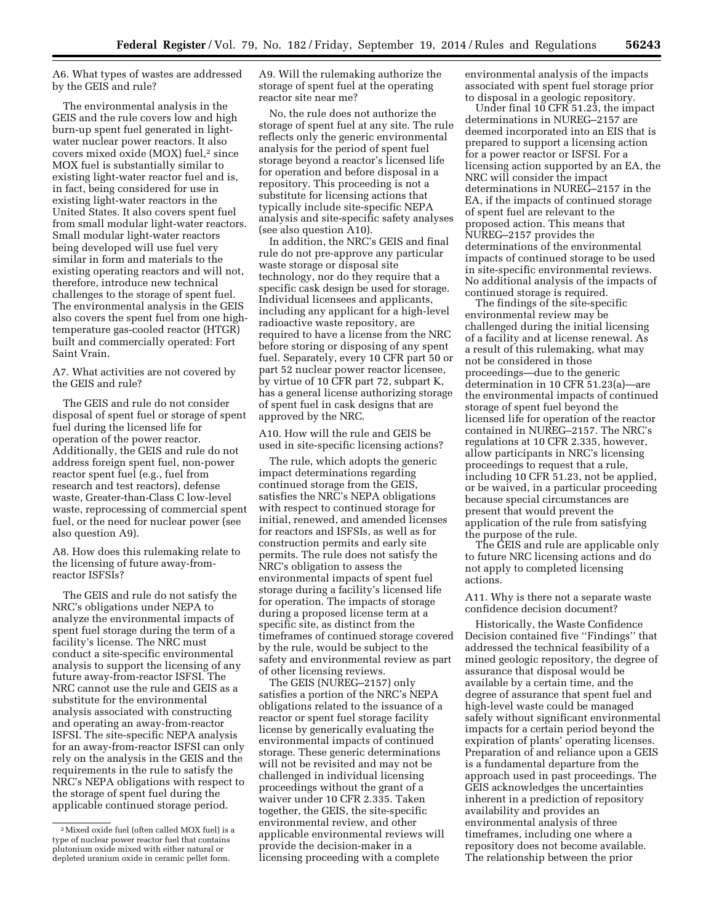A6. What types of wastes are addressed by the GEIS and rule?

The environmental analysis in the GEIS and the rule covers low and high burn-up spent fuel generated in lightwater nuclear power reactors. It also covers mixed oxide (MOX) fuel,2 since MOX fuel is substantially similar to existing light-water reactor fuel and is, in fact, being considered for use in existing light-water reactors in the United States. It also covers spent fuel from small modular light-water reactors. Small modular light-water reactors being developed will use fuel very similar in form and materials to the existing operating reactors and will not, therefore, introduce new technical challenges to the storage of spent fuel. The environmental analysis in the GEIS also covers the spent fuel from one hightemperature gas-cooled reactor (HTGR) built and commercially operated: Fort Saint Vrain.

A7. What activities are not covered by the GEIS and rule?

The GEIS and rule do not consider disposal of spent fuel or storage of spent fuel during the licensed life for operation of the power reactor. Additionally, the GEIS and rule do not address foreign spent fuel, non-power reactor spent fuel (e.g., fuel from research and test reactors), defense waste, Greater-than-Class C low-level waste, reprocessing of commercial spent fuel, or the need for nuclear power (see also question A9).

A8. How does this rulemaking relate to the licensing of future away-fromreactor ISFSIs?

The GEIS and rule do not satisfy the NRC's obligations under NEPA to analyze the environmental impacts of spent fuel storage during the term of a facility's license. The NRC must conduct a site-specific environmental analysis to support the licensing of any future away-from-reactor ISFSI. The NRC cannot use the rule and GEIS as a substitute for the environmental analysis associated with constructing and operating an away-from-reactor ISFSI. The site-specific NEPA analysis for an away-from-reactor ISFSI can only rely on the analysis in the GEIS and the requirements in the rule to satisfy the NRC's NEPA obligations with respect to the storage of spent fuel during the applicable continued storage period.

A9. Will the rulemaking authorize the storage of spent fuel at the operating reactor site near me?

No, the rule does not authorize the storage of spent fuel at any site. The rule reflects only the generic environmental analysis for the period of spent fuel storage beyond a reactor's licensed life for operation and before disposal in a repository. This proceeding is not a substitute for licensing actions that typically include site-specific NEPA analysis and site-specific safety analyses (see also question A10).

In addition, the NRC's GEIS and final rule do not pre-approve any particular waste storage or disposal site technology, nor do they require that a specific cask design be used for storage. Individual licensees and applicants, including any applicant for a high-level radioactive waste repository, are required to have a license from the NRC before storing or disposing of any spent fuel. Separately, every 10 CFR part 50 or part 52 nuclear power reactor licensee, by virtue of 10 CFR part 72, subpart K, has a general license authorizing storage of spent fuel in cask designs that are approved by the NRC.

A10. How will the rule and GEIS be used in site-specific licensing actions?

The rule, which adopts the generic impact determinations regarding continued storage from the GEIS, satisfies the NRC's NEPA obligations with respect to continued storage for initial, renewed, and amended licenses for reactors and ISFSIs, as well as for construction permits and early site permits. The rule does not satisfy the NRC's obligation to assess the environmental impacts of spent fuel storage during a facility's licensed life for operation. The impacts of storage during a proposed license term at a specific site, as distinct from the timeframes of continued storage covered by the rule, would be subject to the safety and environmental review as part of other licensing reviews.

The GEIS (NUREG–2157) only satisfies a portion of the NRC's NEPA obligations related to the issuance of a reactor or spent fuel storage facility license by generically evaluating the environmental impacts of continued storage. These generic determinations will not be revisited and may not be challenged in individual licensing proceedings without the grant of a waiver under 10 CFR 2.335. Taken together, the GEIS, the site-specific environmental review, and other applicable environmental reviews will provide the decision-maker in a licensing proceeding with a complete

environmental analysis of the impacts associated with spent fuel storage prior to disposal in a geologic repository.

Under final 10 CFR 51.23, the impact determinations in NUREG–2157 are deemed incorporated into an EIS that is prepared to support a licensing action for a power reactor or ISFSI. For a licensing action supported by an EA, the NRC will consider the impact determinations in NUREG–2157 in the EA, if the impacts of continued storage of spent fuel are relevant to the proposed action. This means that NUREG–2157 provides the determinations of the environmental impacts of continued storage to be used in site-specific environmental reviews. No additional analysis of the impacts of continued storage is required.

The findings of the site-specific environmental review may be challenged during the initial licensing of a facility and at license renewal. As a result of this rulemaking, what may not be considered in those proceedings—due to the generic determination in 10 CFR 51.23(a)—are the environmental impacts of continued storage of spent fuel beyond the licensed life for operation of the reactor contained in NUREG–2157. The NRC's regulations at 10 CFR 2.335, however, allow participants in NRC's licensing proceedings to request that a rule, including 10 CFR 51.23, not be applied, or be waived, in a particular proceeding because special circumstances are present that would prevent the application of the rule from satisfying the purpose of the rule.

The GEIS and rule are applicable only to future NRC licensing actions and do not apply to completed licensing actions.

A11. Why is there not a separate waste confidence decision document?

Historically, the Waste Confidence Decision contained five "Findings" that addressed the technical feasibility of a mined geologic repository, the degree of assurance that disposal would be available by a certain time, and the degree of assurance that spent fuel and high-level waste could be managed safely without significant environmental impacts for a certain period beyond the expiration of plants' operating licenses. Preparation of and reliance upon a GEIS is a fundamental departure from the approach used in past proceedings. The GEIS acknowledges the uncertainties inherent in a prediction of repository availability and provides an environmental analysis of three timeframes, including one where a repository does not become available. The relationship between the prior

<sup>2</sup>Mixed oxide fuel (often called MOX fuel) is a type of nuclear power reactor fuel that contains plutonium oxide mixed with either natural or depleted uranium oxide in ceramic pellet form.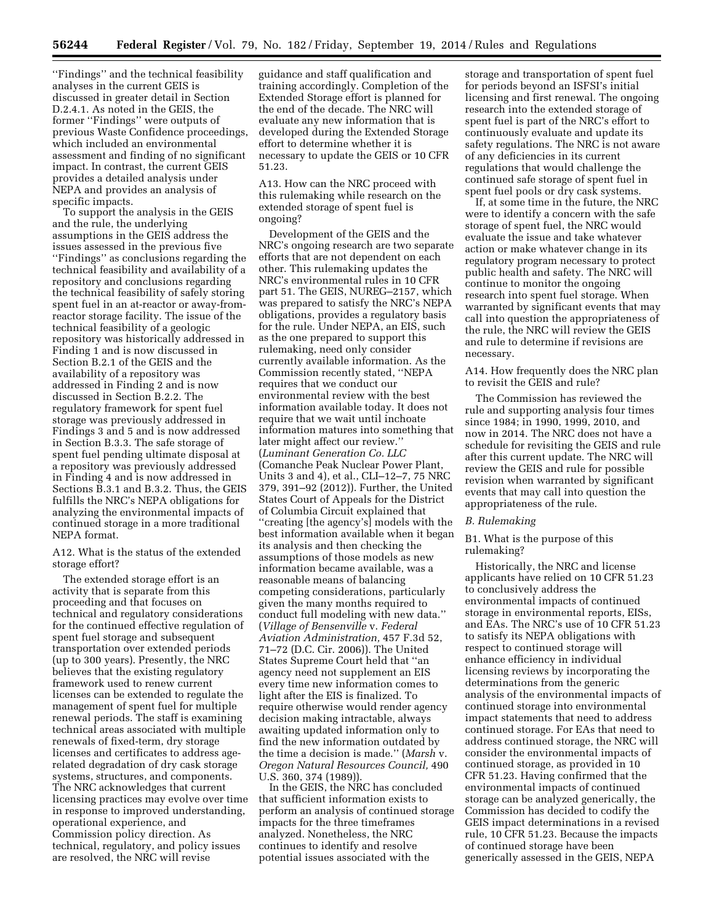''Findings'' and the technical feasibility analyses in the current GEIS is discussed in greater detail in Section D.2.4.1. As noted in the GEIS, the former ''Findings'' were outputs of previous Waste Confidence proceedings, which included an environmental assessment and finding of no significant impact. In contrast, the current GEIS provides a detailed analysis under NEPA and provides an analysis of specific impacts.

To support the analysis in the GEIS and the rule, the underlying assumptions in the GEIS address the issues assessed in the previous five ''Findings'' as conclusions regarding the technical feasibility and availability of a repository and conclusions regarding the technical feasibility of safely storing spent fuel in an at-reactor or away-fromreactor storage facility. The issue of the technical feasibility of a geologic repository was historically addressed in Finding 1 and is now discussed in Section B.2.1 of the GEIS and the availability of a repository was addressed in Finding 2 and is now discussed in Section B.2.2. The regulatory framework for spent fuel storage was previously addressed in Findings 3 and 5 and is now addressed in Section B.3.3. The safe storage of spent fuel pending ultimate disposal at a repository was previously addressed in Finding 4 and is now addressed in Sections B.3.1 and B.3.2. Thus, the GEIS fulfills the NRC's NEPA obligations for analyzing the environmental impacts of continued storage in a more traditional NEPA format.

A12. What is the status of the extended storage effort?

The extended storage effort is an activity that is separate from this proceeding and that focuses on technical and regulatory considerations for the continued effective regulation of spent fuel storage and subsequent transportation over extended periods (up to 300 years). Presently, the NRC believes that the existing regulatory framework used to renew current licenses can be extended to regulate the management of spent fuel for multiple renewal periods. The staff is examining technical areas associated with multiple renewals of fixed-term, dry storage licenses and certificates to address agerelated degradation of dry cask storage systems, structures, and components. The NRC acknowledges that current licensing practices may evolve over time in response to improved understanding, operational experience, and Commission policy direction. As technical, regulatory, and policy issues are resolved, the NRC will revise

guidance and staff qualification and training accordingly. Completion of the Extended Storage effort is planned for the end of the decade. The NRC will evaluate any new information that is developed during the Extended Storage effort to determine whether it is necessary to update the GEIS or 10 CFR 51.23.

A13. How can the NRC proceed with this rulemaking while research on the extended storage of spent fuel is ongoing?

Development of the GEIS and the NRC's ongoing research are two separate efforts that are not dependent on each other. This rulemaking updates the NRC's environmental rules in 10 CFR part 51. The GEIS, NUREG–2157, which was prepared to satisfy the NRC's NEPA obligations, provides a regulatory basis for the rule. Under NEPA, an EIS, such as the one prepared to support this rulemaking, need only consider currently available information. As the Commission recently stated, ''NEPA requires that we conduct our environmental review with the best information available today. It does not require that we wait until inchoate information matures into something that later might affect our review.'' (*Luminant Generation Co. LLC*  (Comanche Peak Nuclear Power Plant, Units 3 and 4), et al., CLI–12–7, 75 NRC 379, 391–92 (2012)). Further, the United States Court of Appeals for the District of Columbia Circuit explained that ''creating [the agency's] models with the best information available when it began its analysis and then checking the assumptions of those models as new information became available, was a reasonable means of balancing competing considerations, particularly given the many months required to conduct full modeling with new data.'' (*Village of Bensenville* v. *Federal Aviation Administration,* 457 F.3d 52, 71–72 (D.C. Cir. 2006)). The United States Supreme Court held that ''an agency need not supplement an EIS every time new information comes to light after the EIS is finalized. To require otherwise would render agency decision making intractable, always awaiting updated information only to find the new information outdated by the time a decision is made.'' (*Marsh* v. *Oregon Natural Resources Council,* 490 U.S. 360, 374 (1989)).

In the GEIS, the NRC has concluded that sufficient information exists to perform an analysis of continued storage impacts for the three timeframes analyzed. Nonetheless, the NRC continues to identify and resolve potential issues associated with the

storage and transportation of spent fuel for periods beyond an ISFSI's initial licensing and first renewal. The ongoing research into the extended storage of spent fuel is part of the NRC's effort to continuously evaluate and update its safety regulations. The NRC is not aware of any deficiencies in its current regulations that would challenge the continued safe storage of spent fuel in spent fuel pools or dry cask systems.

If, at some time in the future, the NRC were to identify a concern with the safe storage of spent fuel, the NRC would evaluate the issue and take whatever action or make whatever change in its regulatory program necessary to protect public health and safety. The NRC will continue to monitor the ongoing research into spent fuel storage. When warranted by significant events that may call into question the appropriateness of the rule, the NRC will review the GEIS and rule to determine if revisions are necessary.

A14. How frequently does the NRC plan to revisit the GEIS and rule?

The Commission has reviewed the rule and supporting analysis four times since 1984; in 1990, 1999, 2010, and now in 2014. The NRC does not have a schedule for revisiting the GEIS and rule after this current update. The NRC will review the GEIS and rule for possible revision when warranted by significant events that may call into question the appropriateness of the rule.

#### *B. Rulemaking*

### B1. What is the purpose of this rulemaking?

Historically, the NRC and license applicants have relied on 10 CFR 51.23 to conclusively address the environmental impacts of continued storage in environmental reports, EISs, and EAs. The NRC's use of 10 CFR 51.23 to satisfy its NEPA obligations with respect to continued storage will enhance efficiency in individual licensing reviews by incorporating the determinations from the generic analysis of the environmental impacts of continued storage into environmental impact statements that need to address continued storage. For EAs that need to address continued storage, the NRC will consider the environmental impacts of continued storage, as provided in 10 CFR 51.23. Having confirmed that the environmental impacts of continued storage can be analyzed generically, the Commission has decided to codify the GEIS impact determinations in a revised rule, 10 CFR 51.23. Because the impacts of continued storage have been generically assessed in the GEIS, NEPA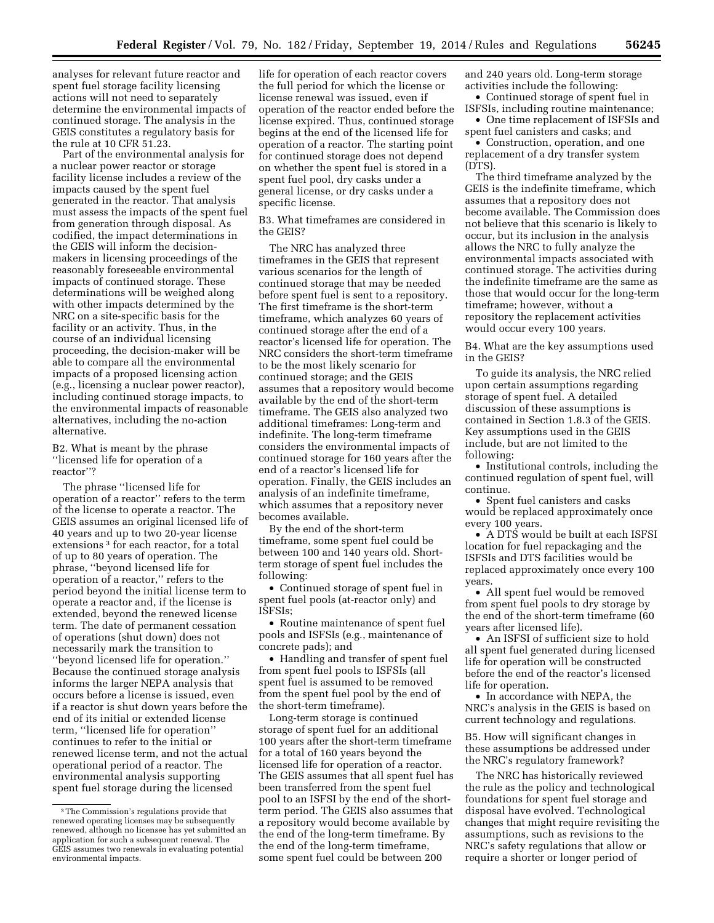analyses for relevant future reactor and spent fuel storage facility licensing actions will not need to separately determine the environmental impacts of continued storage. The analysis in the GEIS constitutes a regulatory basis for the rule at 10 CFR 51.23.

Part of the environmental analysis for a nuclear power reactor or storage facility license includes a review of the impacts caused by the spent fuel generated in the reactor. That analysis must assess the impacts of the spent fuel from generation through disposal. As codified, the impact determinations in the GEIS will inform the decisionmakers in licensing proceedings of the reasonably foreseeable environmental impacts of continued storage. These determinations will be weighed along with other impacts determined by the NRC on a site-specific basis for the facility or an activity. Thus, in the course of an individual licensing proceeding, the decision-maker will be able to compare all the environmental impacts of a proposed licensing action (e.g., licensing a nuclear power reactor), including continued storage impacts, to the environmental impacts of reasonable alternatives, including the no-action alternative.

B2. What is meant by the phrase ''licensed life for operation of a reactor''?

The phrase ''licensed life for operation of a reactor'' refers to the term of the license to operate a reactor. The GEIS assumes an original licensed life of 40 years and up to two 20-year license extensions<sup>3</sup> for each reactor, for a total of up to 80 years of operation. The phrase, ''beyond licensed life for operation of a reactor,'' refers to the period beyond the initial license term to operate a reactor and, if the license is extended, beyond the renewed license term. The date of permanent cessation of operations (shut down) does not necessarily mark the transition to ''beyond licensed life for operation.'' Because the continued storage analysis informs the larger NEPA analysis that occurs before a license is issued, even if a reactor is shut down years before the end of its initial or extended license term, ''licensed life for operation'' continues to refer to the initial or renewed license term, and not the actual operational period of a reactor. The environmental analysis supporting spent fuel storage during the licensed

life for operation of each reactor covers the full period for which the license or license renewal was issued, even if operation of the reactor ended before the license expired. Thus, continued storage begins at the end of the licensed life for operation of a reactor. The starting point for continued storage does not depend on whether the spent fuel is stored in a spent fuel pool, dry casks under a general license, or dry casks under a specific license.

B3. What timeframes are considered in the GEIS?

The NRC has analyzed three timeframes in the GEIS that represent various scenarios for the length of continued storage that may be needed before spent fuel is sent to a repository. The first timeframe is the short-term timeframe, which analyzes 60 years of continued storage after the end of a reactor's licensed life for operation. The NRC considers the short-term timeframe to be the most likely scenario for continued storage; and the GEIS assumes that a repository would become available by the end of the short-term timeframe. The GEIS also analyzed two additional timeframes: Long-term and indefinite. The long-term timeframe considers the environmental impacts of continued storage for 160 years after the end of a reactor's licensed life for operation. Finally, the GEIS includes an analysis of an indefinite timeframe, which assumes that a repository never becomes available.

By the end of the short-term timeframe, some spent fuel could be between 100 and 140 years old. Shortterm storage of spent fuel includes the following:

• Continued storage of spent fuel in spent fuel pools (at-reactor only) and ISFSIs;

• Routine maintenance of spent fuel pools and ISFSIs (e.g., maintenance of concrete pads); and

• Handling and transfer of spent fuel from spent fuel pools to ISFSIs (all spent fuel is assumed to be removed from the spent fuel pool by the end of the short-term timeframe).

Long-term storage is continued storage of spent fuel for an additional 100 years after the short-term timeframe for a total of 160 years beyond the licensed life for operation of a reactor. The GEIS assumes that all spent fuel has been transferred from the spent fuel pool to an ISFSI by the end of the shortterm period. The GEIS also assumes that a repository would become available by the end of the long-term timeframe. By the end of the long-term timeframe, some spent fuel could be between 200

and 240 years old. Long-term storage activities include the following:

• Continued storage of spent fuel in ISFSIs, including routine maintenance;

• One time replacement of ISFSIs and spent fuel canisters and casks; and

• Construction, operation, and one replacement of a dry transfer system (DTS).

The third timeframe analyzed by the GEIS is the indefinite timeframe, which assumes that a repository does not become available. The Commission does not believe that this scenario is likely to occur, but its inclusion in the analysis allows the NRC to fully analyze the environmental impacts associated with continued storage. The activities during the indefinite timeframe are the same as those that would occur for the long-term timeframe; however, without a repository the replacement activities would occur every 100 years.

B4. What are the key assumptions used in the GEIS?

To guide its analysis, the NRC relied upon certain assumptions regarding storage of spent fuel. A detailed discussion of these assumptions is contained in Section 1.8.3 of the GEIS. Key assumptions used in the GEIS include, but are not limited to the following:

• Institutional controls, including the continued regulation of spent fuel, will continue.

• Spent fuel canisters and casks would be replaced approximately once every 100 years.

• A DTS would be built at each ISFSI location for fuel repackaging and the ISFSIs and DTS facilities would be replaced approximately once every 100 years.

• All spent fuel would be removed from spent fuel pools to dry storage by the end of the short-term timeframe (60 years after licensed life).

• An ISFSI of sufficient size to hold all spent fuel generated during licensed life for operation will be constructed before the end of the reactor's licensed life for operation.

• In accordance with NEPA, the NRC's analysis in the GEIS is based on current technology and regulations.

B5. How will significant changes in these assumptions be addressed under the NRC's regulatory framework?

The NRC has historically reviewed the rule as the policy and technological foundations for spent fuel storage and disposal have evolved. Technological changes that might require revisiting the assumptions, such as revisions to the NRC's safety regulations that allow or require a shorter or longer period of

<sup>3</sup>The Commission's regulations provide that renewed operating licenses may be subsequently renewed, although no licensee has yet submitted an application for such a subsequent renewal. The GEIS assumes two renewals in evaluating potential environmental impacts.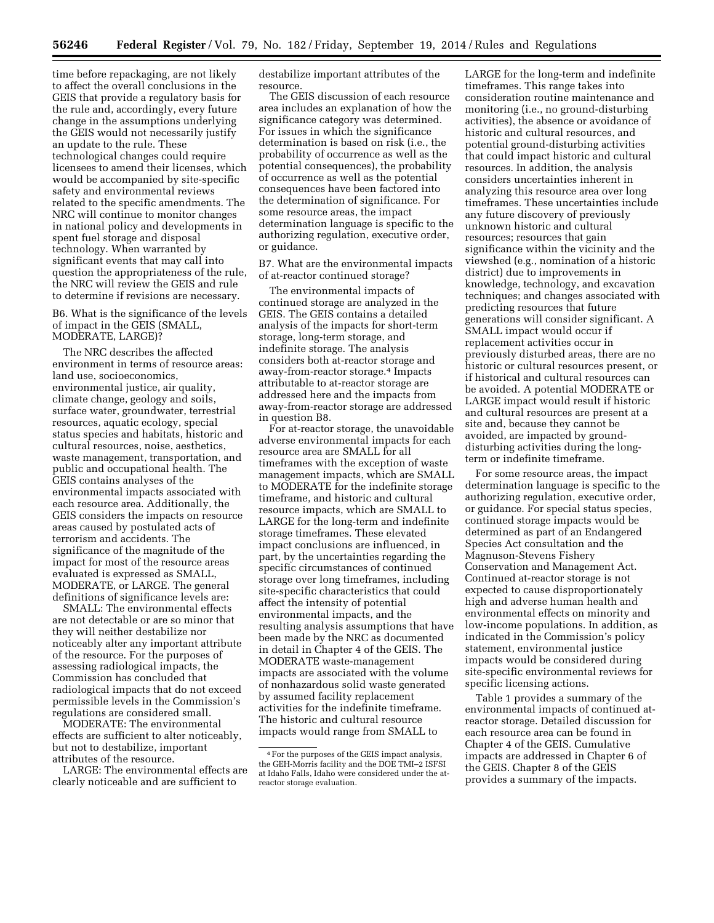time before repackaging, are not likely to affect the overall conclusions in the GEIS that provide a regulatory basis for the rule and, accordingly, every future change in the assumptions underlying the GEIS would not necessarily justify an update to the rule. These technological changes could require licensees to amend their licenses, which would be accompanied by site-specific safety and environmental reviews related to the specific amendments. The NRC will continue to monitor changes in national policy and developments in spent fuel storage and disposal technology. When warranted by significant events that may call into question the appropriateness of the rule, the NRC will review the GEIS and rule to determine if revisions are necessary.

### B6. What is the significance of the levels of impact in the GEIS (SMALL, MODERATE, LARGE)?

The NRC describes the affected environment in terms of resource areas: land use, socioeconomics, environmental justice, air quality, climate change, geology and soils, surface water, groundwater, terrestrial resources, aquatic ecology, special status species and habitats, historic and cultural resources, noise, aesthetics, waste management, transportation, and public and occupational health. The GEIS contains analyses of the environmental impacts associated with each resource area. Additionally, the GEIS considers the impacts on resource areas caused by postulated acts of terrorism and accidents. The significance of the magnitude of the impact for most of the resource areas evaluated is expressed as SMALL, MODERATE, or LARGE. The general definitions of significance levels are:

SMALL: The environmental effects are not detectable or are so minor that they will neither destabilize nor noticeably alter any important attribute of the resource. For the purposes of assessing radiological impacts, the Commission has concluded that radiological impacts that do not exceed permissible levels in the Commission's regulations are considered small.

MODERATE: The environmental effects are sufficient to alter noticeably, but not to destabilize, important attributes of the resource.

LARGE: The environmental effects are clearly noticeable and are sufficient to

destabilize important attributes of the resource.

The GEIS discussion of each resource area includes an explanation of how the significance category was determined. For issues in which the significance determination is based on risk (i.e., the probability of occurrence as well as the potential consequences), the probability of occurrence as well as the potential consequences have been factored into the determination of significance. For some resource areas, the impact determination language is specific to the authorizing regulation, executive order, or guidance.

B7. What are the environmental impacts of at-reactor continued storage?

The environmental impacts of continued storage are analyzed in the GEIS. The GEIS contains a detailed analysis of the impacts for short-term storage, long-term storage, and indefinite storage. The analysis considers both at-reactor storage and away-from-reactor storage.4 Impacts attributable to at-reactor storage are addressed here and the impacts from away-from-reactor storage are addressed in question B8.

For at-reactor storage, the unavoidable adverse environmental impacts for each resource area are SMALL for all timeframes with the exception of waste management impacts, which are SMALL to MODERATE for the indefinite storage timeframe, and historic and cultural resource impacts, which are SMALL to LARGE for the long-term and indefinite storage timeframes. These elevated impact conclusions are influenced, in part, by the uncertainties regarding the specific circumstances of continued storage over long timeframes, including site-specific characteristics that could affect the intensity of potential environmental impacts, and the resulting analysis assumptions that have been made by the NRC as documented in detail in Chapter 4 of the GEIS. The MODERATE waste-management impacts are associated with the volume of nonhazardous solid waste generated by assumed facility replacement activities for the indefinite timeframe. The historic and cultural resource impacts would range from SMALL to

LARGE for the long-term and indefinite timeframes. This range takes into consideration routine maintenance and monitoring (i.e., no ground-disturbing activities), the absence or avoidance of historic and cultural resources, and potential ground-disturbing activities that could impact historic and cultural resources. In addition, the analysis considers uncertainties inherent in analyzing this resource area over long timeframes. These uncertainties include any future discovery of previously unknown historic and cultural resources; resources that gain significance within the vicinity and the viewshed (e.g., nomination of a historic district) due to improvements in knowledge, technology, and excavation techniques; and changes associated with predicting resources that future generations will consider significant. A SMALL impact would occur if replacement activities occur in previously disturbed areas, there are no historic or cultural resources present, or if historical and cultural resources can be avoided. A potential MODERATE or LARGE impact would result if historic and cultural resources are present at a site and, because they cannot be avoided, are impacted by grounddisturbing activities during the longterm or indefinite timeframe.

For some resource areas, the impact determination language is specific to the authorizing regulation, executive order, or guidance. For special status species, continued storage impacts would be determined as part of an Endangered Species Act consultation and the Magnuson-Stevens Fishery Conservation and Management Act. Continued at-reactor storage is not expected to cause disproportionately high and adverse human health and environmental effects on minority and low-income populations. In addition, as indicated in the Commission's policy statement, environmental justice impacts would be considered during site-specific environmental reviews for specific licensing actions.

Table 1 provides a summary of the environmental impacts of continued atreactor storage. Detailed discussion for each resource area can be found in Chapter 4 of the GEIS. Cumulative impacts are addressed in Chapter 6 of the GEIS. Chapter 8 of the GEIS provides a summary of the impacts.

<sup>4</sup>For the purposes of the GEIS impact analysis, the GEH-Morris facility and the DOE TMI–2 ISFSI at Idaho Falls, Idaho were considered under the atreactor storage evaluation.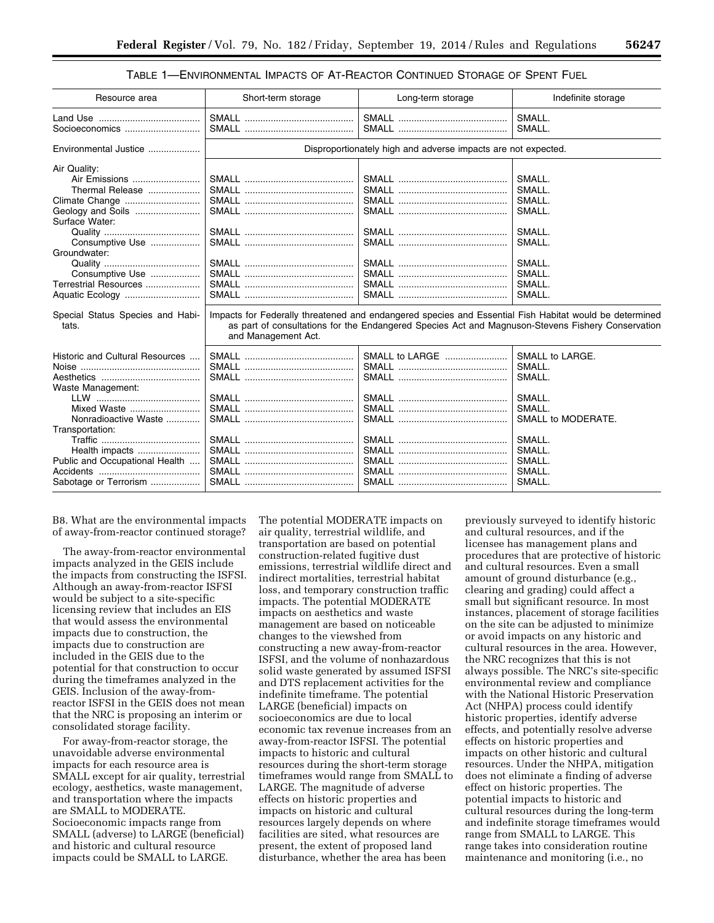## TABLE 1—ENVIRONMENTAL IMPACTS OF AT-REACTOR CONTINUED STORAGE OF SPENT FUEL

| Resource area                                                                                                                                                                                                                                   | Short-term storage                                                                                                       | Long-term storage                                                                                      | Indefinite storage                                                                               |  |
|-------------------------------------------------------------------------------------------------------------------------------------------------------------------------------------------------------------------------------------------------|--------------------------------------------------------------------------------------------------------------------------|--------------------------------------------------------------------------------------------------------|--------------------------------------------------------------------------------------------------|--|
| Socioeconomics                                                                                                                                                                                                                                  |                                                                                                                          |                                                                                                        | SMALL.<br>SMALL.                                                                                 |  |
| Environmental Justice                                                                                                                                                                                                                           | Disproportionately high and adverse impacts are not expected.                                                            |                                                                                                        |                                                                                                  |  |
| Air Quality:<br>Air Emissions<br>Thermal Release<br>Climate Change<br>Geology and Soils<br>Surface Water:<br>Consumptive Use<br>Groundwater:<br>Consumptive Use<br>Terrestrial Resources<br>Aquatic Ecology<br>Special Status Species and Habi- |                                                                                                                          | Impacts for Federally threatened and endangered species and Essential Fish Habitat would be determined | SMALL.<br>SMALL.<br>SMALL.<br>SMALL.<br>SMALL.<br>SMALL.<br>SMALL.<br>SMALL.<br>SMALL.<br>SMALL. |  |
| tats.                                                                                                                                                                                                                                           | as part of consultations for the Endangered Species Act and Magnuson-Stevens Fishery Conservation<br>and Management Act. |                                                                                                        |                                                                                                  |  |
| Historic and Cultural Resources<br>Waste Management:<br>Mixed Waste                                                                                                                                                                             |                                                                                                                          | SMALL to LARGE                                                                                         | SMALL to LARGE.<br>SMALL.<br>SMALL.<br>SMALL.<br>SMALL.                                          |  |
| Nonradioactive Waste<br>Transportation:<br>Health impacts<br>Public and Occupational Health<br>Sabotage or Terrorism                                                                                                                            |                                                                                                                          |                                                                                                        | SMALL to MODERATE.<br>SMALL.<br>SMALL.<br>SMALL.<br>SMALL.<br>SMALL.                             |  |

B8. What are the environmental impacts of away-from-reactor continued storage?

The away-from-reactor environmental impacts analyzed in the GEIS include the impacts from constructing the ISFSI. Although an away-from-reactor ISFSI would be subject to a site-specific licensing review that includes an EIS that would assess the environmental impacts due to construction, the impacts due to construction are included in the GEIS due to the potential for that construction to occur during the timeframes analyzed in the GEIS. Inclusion of the away-fromreactor ISFSI in the GEIS does not mean that the NRC is proposing an interim or consolidated storage facility.

For away-from-reactor storage, the unavoidable adverse environmental impacts for each resource area is SMALL except for air quality, terrestrial ecology, aesthetics, waste management, and transportation where the impacts are SMALL to MODERATE. Socioeconomic impacts range from SMALL (adverse) to LARGE (beneficial) and historic and cultural resource impacts could be SMALL to LARGE.

The potential MODERATE impacts on air quality, terrestrial wildlife, and transportation are based on potential construction-related fugitive dust emissions, terrestrial wildlife direct and indirect mortalities, terrestrial habitat loss, and temporary construction traffic impacts. The potential MODERATE impacts on aesthetics and waste management are based on noticeable changes to the viewshed from constructing a new away-from-reactor ISFSI, and the volume of nonhazardous solid waste generated by assumed ISFSI and DTS replacement activities for the indefinite timeframe. The potential LARGE (beneficial) impacts on socioeconomics are due to local economic tax revenue increases from an away-from-reactor ISFSI. The potential impacts to historic and cultural resources during the short-term storage timeframes would range from SMALL to LARGE. The magnitude of adverse effects on historic properties and impacts on historic and cultural resources largely depends on where facilities are sited, what resources are present, the extent of proposed land disturbance, whether the area has been

previously surveyed to identify historic and cultural resources, and if the licensee has management plans and procedures that are protective of historic and cultural resources. Even a small amount of ground disturbance (e.g., clearing and grading) could affect a small but significant resource. In most instances, placement of storage facilities on the site can be adjusted to minimize or avoid impacts on any historic and cultural resources in the area. However, the NRC recognizes that this is not always possible. The NRC's site-specific environmental review and compliance with the National Historic Preservation Act (NHPA) process could identify historic properties, identify adverse effects, and potentially resolve adverse effects on historic properties and impacts on other historic and cultural resources. Under the NHPA, mitigation does not eliminate a finding of adverse effect on historic properties. The potential impacts to historic and cultural resources during the long-term and indefinite storage timeframes would range from SMALL to LARGE. This range takes into consideration routine maintenance and monitoring (i.e., no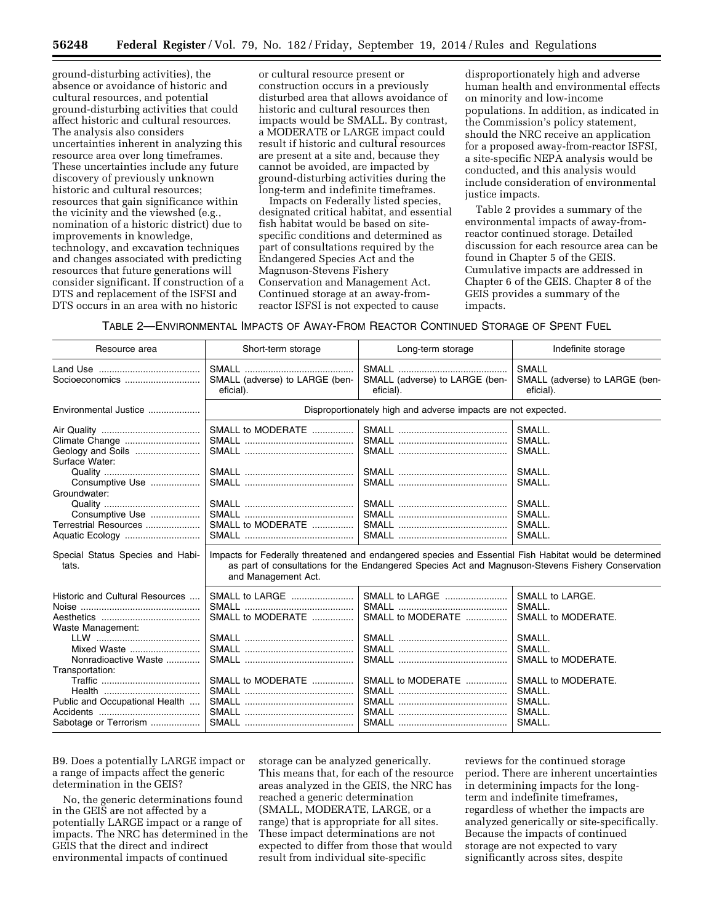ground-disturbing activities), the absence or avoidance of historic and cultural resources, and potential ground-disturbing activities that could affect historic and cultural resources. The analysis also considers uncertainties inherent in analyzing this resource area over long timeframes. These uncertainties include any future discovery of previously unknown historic and cultural resources; resources that gain significance within the vicinity and the viewshed (e.g., nomination of a historic district) due to improvements in knowledge, technology, and excavation techniques and changes associated with predicting resources that future generations will consider significant. If construction of a DTS and replacement of the ISFSI and DTS occurs in an area with no historic

or cultural resource present or construction occurs in a previously disturbed area that allows avoidance of historic and cultural resources then impacts would be SMALL. By contrast, a MODERATE or LARGE impact could result if historic and cultural resources are present at a site and, because they cannot be avoided, are impacted by ground-disturbing activities during the long-term and indefinite timeframes.

Impacts on Federally listed species, designated critical habitat, and essential fish habitat would be based on sitespecific conditions and determined as part of consultations required by the Endangered Species Act and the Magnuson-Stevens Fishery Conservation and Management Act. Continued storage at an away-fromreactor ISFSI is not expected to cause

disproportionately high and adverse human health and environmental effects on minority and low-income populations. In addition, as indicated in the Commission's policy statement, should the NRC receive an application for a proposed away-from-reactor ISFSI, a site-specific NEPA analysis would be conducted, and this analysis would include consideration of environmental justice impacts.

Table 2 provides a summary of the environmental impacts of away-fromreactor continued storage. Detailed discussion for each resource area can be found in Chapter 5 of the GEIS. Cumulative impacts are addressed in Chapter 6 of the GEIS. Chapter 8 of the GEIS provides a summary of the impacts.

TABLE 2—ENVIRONMENTAL IMPACTS OF AWAY-FROM REACTOR CONTINUED STORAGE OF SPENT FUEL

| Resource area                                                | Short-term storage                                                                                                                                                                                                                           | Long-term storage                           | Indefinite storage                                          |  |  |
|--------------------------------------------------------------|----------------------------------------------------------------------------------------------------------------------------------------------------------------------------------------------------------------------------------------------|---------------------------------------------|-------------------------------------------------------------|--|--|
|                                                              | SMALL (adverse) to LARGE (ben-<br>eficial).                                                                                                                                                                                                  | SMALL (adverse) to LARGE (ben-<br>eficial). | <b>SMALL</b><br>SMALL (adverse) to LARGE (ben-<br>eficial). |  |  |
| Environmental Justice                                        | Disproportionately high and adverse impacts are not expected.                                                                                                                                                                                |                                             |                                                             |  |  |
| Geology and Soils<br>Surface Water:                          | SMALL to MODERATE                                                                                                                                                                                                                            |                                             | SMALL.<br>SMALL.<br>SMALL.                                  |  |  |
| Consumptive Use<br>Groundwater:                              |                                                                                                                                                                                                                                              |                                             | SMALL.<br>SMALL.                                            |  |  |
| Consumptive Use<br>Terrestrial Resources                     | SMALL to MODERATE                                                                                                                                                                                                                            |                                             | SMALL.<br>SMALL.<br>SMALL.                                  |  |  |
| Aquatic Ecology<br>Special Status Species and Habi-<br>tats. | SMALL.<br>Impacts for Federally threatened and endangered species and Essential Fish Habitat would be determined<br>as part of consultations for the Endangered Species Act and Magnuson-Stevens Fishery Conservation<br>and Management Act. |                                             |                                                             |  |  |
| Historic and Cultural Resources<br>Waste Management:         | SMALL to LARGE<br>SMALL to MODERATE                                                                                                                                                                                                          | SMALL to LARGE<br>SMALL to MODERATE         | SMALL to LARGE.<br>SMALL.<br>SMALL to MODERATE.             |  |  |
| Mixed Waste<br>Nonradioactive Waste<br>Transportation:       |                                                                                                                                                                                                                                              |                                             | SMALL.<br>SMALL.<br>SMALL to MODERATE.                      |  |  |
| Public and Occupational Health<br>Sabotage or Terrorism      | SMALL to MODERATE                                                                                                                                                                                                                            | SMALL to MODERATE                           | SMALL to MODERATE.<br>SMALL.<br>SMALL.<br>SMALL.<br>SMALL.  |  |  |

B9. Does a potentially LARGE impact or a range of impacts affect the generic determination in the GEIS?

No, the generic determinations found in the GEIS are not affected by a potentially LARGE impact or a range of impacts. The NRC has determined in the GEIS that the direct and indirect environmental impacts of continued

storage can be analyzed generically. This means that, for each of the resource areas analyzed in the GEIS, the NRC has reached a generic determination (SMALL, MODERATE, LARGE, or a range) that is appropriate for all sites. These impact determinations are not expected to differ from those that would result from individual site-specific

reviews for the continued storage period. There are inherent uncertainties in determining impacts for the longterm and indefinite timeframes, regardless of whether the impacts are analyzed generically or site-specifically. Because the impacts of continued storage are not expected to vary significantly across sites, despite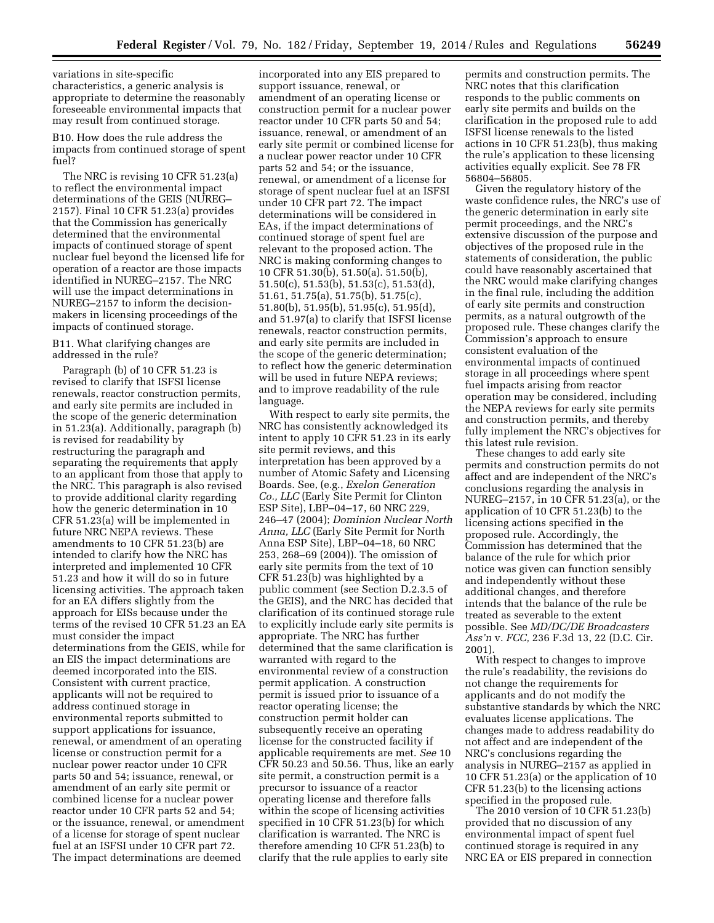variations in site-specific characteristics, a generic analysis is appropriate to determine the reasonably foreseeable environmental impacts that may result from continued storage.

B10. How does the rule address the impacts from continued storage of spent fuel?

The NRC is revising 10 CFR 51.23(a) to reflect the environmental impact determinations of the GEIS (NUREG– 2157). Final 10 CFR 51.23(a) provides that the Commission has generically determined that the environmental impacts of continued storage of spent nuclear fuel beyond the licensed life for operation of a reactor are those impacts identified in NUREG–2157. The NRC will use the impact determinations in NUREG–2157 to inform the decisionmakers in licensing proceedings of the impacts of continued storage.

B11. What clarifying changes are addressed in the rule?

Paragraph (b) of 10 CFR 51.23 is revised to clarify that ISFSI license renewals, reactor construction permits, and early site permits are included in the scope of the generic determination in 51.23(a). Additionally, paragraph (b) is revised for readability by restructuring the paragraph and separating the requirements that apply to an applicant from those that apply to the NRC. This paragraph is also revised to provide additional clarity regarding how the generic determination in 10 CFR 51.23(a) will be implemented in future NRC NEPA reviews. These amendments to 10 CFR 51.23(b) are intended to clarify how the NRC has interpreted and implemented 10 CFR 51.23 and how it will do so in future licensing activities. The approach taken for an EA differs slightly from the approach for EISs because under the terms of the revised 10 CFR 51.23 an EA must consider the impact determinations from the GEIS, while for an EIS the impact determinations are deemed incorporated into the EIS. Consistent with current practice, applicants will not be required to address continued storage in environmental reports submitted to support applications for issuance, renewal, or amendment of an operating license or construction permit for a nuclear power reactor under 10 CFR parts 50 and 54; issuance, renewal, or amendment of an early site permit or combined license for a nuclear power reactor under 10 CFR parts 52 and 54; or the issuance, renewal, or amendment of a license for storage of spent nuclear fuel at an ISFSI under 10 CFR part 72. The impact determinations are deemed

incorporated into any EIS prepared to support issuance, renewal, or amendment of an operating license or construction permit for a nuclear power reactor under 10 CFR parts 50 and 54; issuance, renewal, or amendment of an early site permit or combined license for a nuclear power reactor under 10 CFR parts 52 and 54; or the issuance, renewal, or amendment of a license for storage of spent nuclear fuel at an ISFSI under 10 CFR part 72. The impact determinations will be considered in EAs, if the impact determinations of continued storage of spent fuel are relevant to the proposed action. The NRC is making conforming changes to 10 CFR 51.30(b), 51.50(a). 51.50(b), 51.50(c), 51.53(b), 51.53(c), 51.53(d), 51.61, 51.75(a), 51.75(b), 51.75(c), 51.80(b), 51.95(b), 51.95(c), 51.95(d), and 51.97(a) to clarify that ISFSI license renewals, reactor construction permits, and early site permits are included in the scope of the generic determination; to reflect how the generic determination will be used in future NEPA reviews; and to improve readability of the rule language.

With respect to early site permits, the NRC has consistently acknowledged its intent to apply 10 CFR 51.23 in its early site permit reviews, and this interpretation has been approved by a number of Atomic Safety and Licensing Boards. See, (e.g., *Exelon Generation Co., LLC* (Early Site Permit for Clinton ESP Site), LBP-04-17, 60 NRC 229, 246–47 (2004); *Dominion Nuclear North Anna, LLC* (Early Site Permit for North Anna ESP Site), LBP–04–18, 60 NRC 253, 268–69 (2004)). The omission of early site permits from the text of 10 CFR 51.23(b) was highlighted by a public comment (see Section D.2.3.5 of the GEIS), and the NRC has decided that clarification of its continued storage rule to explicitly include early site permits is appropriate. The NRC has further determined that the same clarification is warranted with regard to the environmental review of a construction permit application. A construction permit is issued prior to issuance of a reactor operating license; the construction permit holder can subsequently receive an operating license for the constructed facility if applicable requirements are met. *See* 10 CFR 50.23 and 50.56. Thus, like an early site permit, a construction permit is a precursor to issuance of a reactor operating license and therefore falls within the scope of licensing activities specified in 10 CFR 51.23(b) for which clarification is warranted. The NRC is therefore amending 10 CFR 51.23(b) to clarify that the rule applies to early site

permits and construction permits. The NRC notes that this clarification responds to the public comments on early site permits and builds on the clarification in the proposed rule to add ISFSI license renewals to the listed actions in 10 CFR 51.23(b), thus making the rule's application to these licensing activities equally explicit. See 78 FR 56804–56805.

Given the regulatory history of the waste confidence rules, the NRC's use of the generic determination in early site permit proceedings, and the NRC's extensive discussion of the purpose and objectives of the proposed rule in the statements of consideration, the public could have reasonably ascertained that the NRC would make clarifying changes in the final rule, including the addition of early site permits and construction permits, as a natural outgrowth of the proposed rule. These changes clarify the Commission's approach to ensure consistent evaluation of the environmental impacts of continued storage in all proceedings where spent fuel impacts arising from reactor operation may be considered, including the NEPA reviews for early site permits and construction permits, and thereby fully implement the NRC's objectives for this latest rule revision.

These changes to add early site permits and construction permits do not affect and are independent of the NRC's conclusions regarding the analysis in NUREG–2157, in 10 CFR 51.23(a), or the application of 10 CFR 51.23(b) to the licensing actions specified in the proposed rule. Accordingly, the Commission has determined that the balance of the rule for which prior notice was given can function sensibly and independently without these additional changes, and therefore intends that the balance of the rule be treated as severable to the extent possible. See *MD/DC/DE Broadcasters Ass'n* v. *FCC,* 236 F.3d 13, 22 (D.C. Cir. 2001).

With respect to changes to improve the rule's readability, the revisions do not change the requirements for applicants and do not modify the substantive standards by which the NRC evaluates license applications. The changes made to address readability do not affect and are independent of the NRC's conclusions regarding the analysis in NUREG–2157 as applied in 10 CFR 51.23(a) or the application of 10 CFR 51.23(b) to the licensing actions specified in the proposed rule.

The 2010 version of 10 CFR 51.23(b) provided that no discussion of any environmental impact of spent fuel continued storage is required in any NRC EA or EIS prepared in connection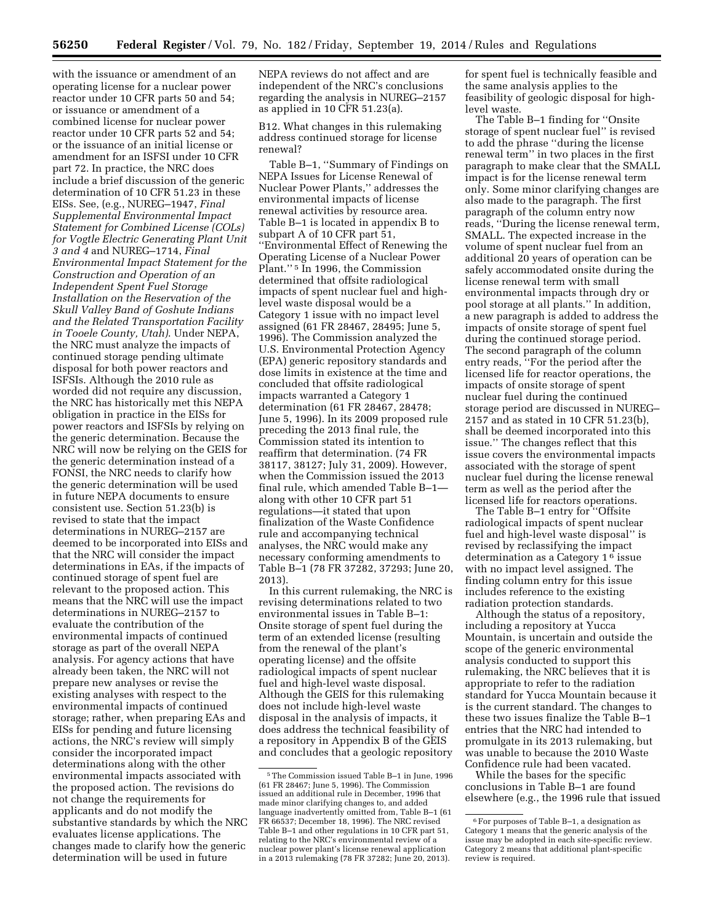with the issuance or amendment of an operating license for a nuclear power reactor under 10 CFR parts 50 and 54; or issuance or amendment of a combined license for nuclear power reactor under 10 CFR parts 52 and 54; or the issuance of an initial license or amendment for an ISFSI under 10 CFR part 72. In practice, the NRC does include a brief discussion of the generic determination of 10 CFR 51.23 in these EISs. See, (e.g., NUREG–1947, *Final Supplemental Environmental Impact Statement for Combined License (COLs) for Vogtle Electric Generating Plant Unit 3 and 4* and NUREG–1714, *Final Environmental Impact Statement for the Construction and Operation of an Independent Spent Fuel Storage Installation on the Reservation of the Skull Valley Band of Goshute Indians and the Related Transportation Facility in Tooele County, Utah)*. Under NEPA, the NRC must analyze the impacts of continued storage pending ultimate disposal for both power reactors and ISFSIs. Although the 2010 rule as worded did not require any discussion, the NRC has historically met this NEPA obligation in practice in the EISs for power reactors and ISFSIs by relying on the generic determination. Because the NRC will now be relying on the GEIS for the generic determination instead of a FONSI, the NRC needs to clarify how the generic determination will be used in future NEPA documents to ensure consistent use. Section 51.23(b) is revised to state that the impact determinations in NUREG–2157 are deemed to be incorporated into EISs and that the NRC will consider the impact determinations in EAs, if the impacts of continued storage of spent fuel are relevant to the proposed action. This means that the NRC will use the impact determinations in NUREG–2157 to evaluate the contribution of the environmental impacts of continued storage as part of the overall NEPA analysis. For agency actions that have already been taken, the NRC will not prepare new analyses or revise the existing analyses with respect to the environmental impacts of continued storage; rather, when preparing EAs and EISs for pending and future licensing actions, the NRC's review will simply consider the incorporated impact determinations along with the other environmental impacts associated with the proposed action. The revisions do not change the requirements for applicants and do not modify the substantive standards by which the NRC evaluates license applications. The changes made to clarify how the generic determination will be used in future

NEPA reviews do not affect and are independent of the NRC's conclusions regarding the analysis in NUREG–2157 as applied in 10 CFR 51.23(a).

B12. What changes in this rulemaking address continued storage for license renewal?

Table B–1, ''Summary of Findings on NEPA Issues for License Renewal of Nuclear Power Plants,'' addresses the environmental impacts of license renewal activities by resource area. Table B–1 is located in appendix B to subpart A of 10 CFR part 51, ''Environmental Effect of Renewing the Operating License of a Nuclear Power Plant."<sup>5</sup> In 1996, the Commission determined that offsite radiological impacts of spent nuclear fuel and highlevel waste disposal would be a Category 1 issue with no impact level assigned (61 FR 28467, 28495; June 5, 1996). The Commission analyzed the U.S. Environmental Protection Agency (EPA) generic repository standards and dose limits in existence at the time and concluded that offsite radiological impacts warranted a Category 1 determination (61 FR 28467, 28478; June 5, 1996). In its 2009 proposed rule preceding the 2013 final rule, the Commission stated its intention to reaffirm that determination. (74 FR 38117, 38127; July 31, 2009). However, when the Commission issued the 2013 final rule, which amended Table B–1 along with other 10 CFR part 51 regulations—it stated that upon finalization of the Waste Confidence rule and accompanying technical analyses, the NRC would make any necessary conforming amendments to Table B–1 (78 FR 37282, 37293; June 20, 2013).

In this current rulemaking, the NRC is revising determinations related to two environmental issues in Table B–1: Onsite storage of spent fuel during the term of an extended license (resulting from the renewal of the plant's operating license) and the offsite radiological impacts of spent nuclear fuel and high-level waste disposal. Although the GEIS for this rulemaking does not include high-level waste disposal in the analysis of impacts, it does address the technical feasibility of a repository in Appendix B of the GEIS and concludes that a geologic repository

for spent fuel is technically feasible and the same analysis applies to the feasibility of geologic disposal for highlevel waste.

The Table B–1 finding for ''Onsite storage of spent nuclear fuel'' is revised to add the phrase ''during the license renewal term'' in two places in the first paragraph to make clear that the SMALL impact is for the license renewal term only. Some minor clarifying changes are also made to the paragraph. The first paragraph of the column entry now reads, ''During the license renewal term, SMALL. The expected increase in the volume of spent nuclear fuel from an additional 20 years of operation can be safely accommodated onsite during the license renewal term with small environmental impacts through dry or pool storage at all plants.'' In addition, a new paragraph is added to address the impacts of onsite storage of spent fuel during the continued storage period. The second paragraph of the column entry reads, ''For the period after the licensed life for reactor operations, the impacts of onsite storage of spent nuclear fuel during the continued storage period are discussed in NUREG– 2157 and as stated in 10 CFR 51.23(b), shall be deemed incorporated into this issue.'' The changes reflect that this issue covers the environmental impacts associated with the storage of spent nuclear fuel during the license renewal term as well as the period after the licensed life for reactors operations.

The Table B–1 entry for ''Offsite radiological impacts of spent nuclear fuel and high-level waste disposal'' is revised by reclassifying the impact determination as a Category 1 6 issue with no impact level assigned. The finding column entry for this issue includes reference to the existing radiation protection standards.

Although the status of a repository, including a repository at Yucca Mountain, is uncertain and outside the scope of the generic environmental analysis conducted to support this rulemaking, the NRC believes that it is appropriate to refer to the radiation standard for Yucca Mountain because it is the current standard. The changes to these two issues finalize the Table B–1 entries that the NRC had intended to promulgate in its 2013 rulemaking, but was unable to because the 2010 Waste Confidence rule had been vacated.

While the bases for the specific conclusions in Table B–1 are found elsewhere (e.g., the 1996 rule that issued

<sup>5</sup>The Commission issued Table B–1 in June, 1996 (61 FR 28467; June 5, 1996). The Commission issued an additional rule in December, 1996 that made minor clarifying changes to, and added language inadvertently omitted from, Table B–1 (61 FR 66537; December 18, 1996). The NRC revised Table B–1 and other regulations in 10 CFR part 51, relating to the NRC's environmental review of a nuclear power plant's license renewal application in a 2013 rulemaking (78 FR 37282; June 20, 2013).

<sup>6</sup>For purposes of Table B–1, a designation as Category 1 means that the generic analysis of the issue may be adopted in each site-specific review. Category 2 means that additional plant-specific review is required.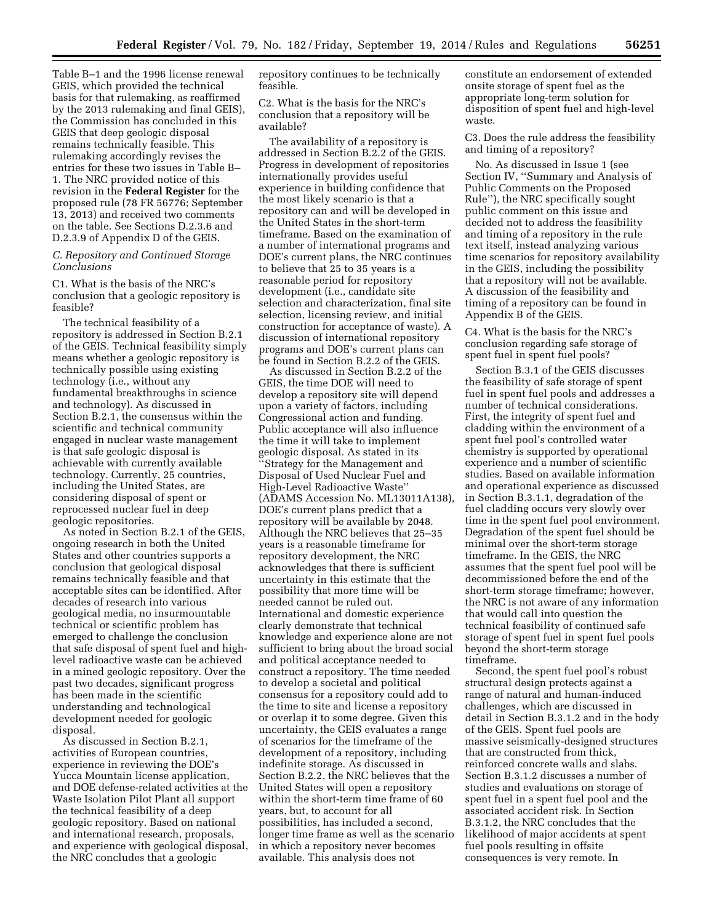Table B–1 and the 1996 license renewal GEIS, which provided the technical basis for that rulemaking, as reaffirmed by the 2013 rulemaking and final GEIS), the Commission has concluded in this GEIS that deep geologic disposal remains technically feasible. This rulemaking accordingly revises the entries for these two issues in Table B– 1. The NRC provided notice of this revision in the **Federal Register** for the proposed rule (78 FR 56776; September 13, 2013) and received two comments on the table. See Sections D.2.3.6 and D.2.3.9 of Appendix D of the GEIS.

### *C. Repository and Continued Storage Conclusions*

C1. What is the basis of the NRC's conclusion that a geologic repository is feasible?

The technical feasibility of a repository is addressed in Section B.2.1 of the GEIS. Technical feasibility simply means whether a geologic repository is technically possible using existing technology (i.e., without any fundamental breakthroughs in science and technology). As discussed in Section B.2.1, the consensus within the scientific and technical community engaged in nuclear waste management is that safe geologic disposal is achievable with currently available technology. Currently, 25 countries, including the United States, are considering disposal of spent or reprocessed nuclear fuel in deep geologic repositories.

As noted in Section B.2.1 of the GEIS, ongoing research in both the United States and other countries supports a conclusion that geological disposal remains technically feasible and that acceptable sites can be identified. After decades of research into various geological media, no insurmountable technical or scientific problem has emerged to challenge the conclusion that safe disposal of spent fuel and highlevel radioactive waste can be achieved in a mined geologic repository. Over the past two decades, significant progress has been made in the scientific understanding and technological development needed for geologic disposal.

As discussed in Section B.2.1, activities of European countries, experience in reviewing the DOE's Yucca Mountain license application, and DOE defense-related activities at the Waste Isolation Pilot Plant all support the technical feasibility of a deep geologic repository. Based on national and international research, proposals, and experience with geological disposal, the NRC concludes that a geologic

repository continues to be technically feasible.

C2. What is the basis for the NRC's conclusion that a repository will be available?

The availability of a repository is addressed in Section B.2.2 of the GEIS. Progress in development of repositories internationally provides useful experience in building confidence that the most likely scenario is that a repository can and will be developed in the United States in the short-term timeframe. Based on the examination of a number of international programs and DOE's current plans, the NRC continues to believe that 25 to 35 years is a reasonable period for repository development (i.e., candidate site selection and characterization, final site selection, licensing review, and initial construction for acceptance of waste). A discussion of international repository programs and DOE's current plans can be found in Section B.2.2 of the GEIS.

As discussed in Section B.2.2 of the GEIS, the time DOE will need to develop a repository site will depend upon a variety of factors, including Congressional action and funding. Public acceptance will also influence the time it will take to implement geologic disposal. As stated in its ''Strategy for the Management and Disposal of Used Nuclear Fuel and High-Level Radioactive Waste'' (ADAMS Accession No. ML13011A138), DOE's current plans predict that a repository will be available by 2048. Although the NRC believes that 25–35 years is a reasonable timeframe for repository development, the NRC acknowledges that there is sufficient uncertainty in this estimate that the possibility that more time will be needed cannot be ruled out. International and domestic experience clearly demonstrate that technical knowledge and experience alone are not sufficient to bring about the broad social and political acceptance needed to construct a repository. The time needed to develop a societal and political consensus for a repository could add to the time to site and license a repository or overlap it to some degree. Given this uncertainty, the GEIS evaluates a range of scenarios for the timeframe of the development of a repository, including indefinite storage. As discussed in Section B.2.2, the NRC believes that the United States will open a repository within the short-term time frame of 60 years, but, to account for all possibilities, has included a second, longer time frame as well as the scenario in which a repository never becomes available. This analysis does not

constitute an endorsement of extended onsite storage of spent fuel as the appropriate long-term solution for disposition of spent fuel and high-level waste.

C3. Does the rule address the feasibility and timing of a repository?

No. As discussed in Issue 1 (see Section IV, ''Summary and Analysis of Public Comments on the Proposed Rule''), the NRC specifically sought public comment on this issue and decided not to address the feasibility and timing of a repository in the rule text itself, instead analyzing various time scenarios for repository availability in the GEIS, including the possibility that a repository will not be available. A discussion of the feasibility and timing of a repository can be found in Appendix B of the GEIS.

C4. What is the basis for the NRC's conclusion regarding safe storage of spent fuel in spent fuel pools?

Section B.3.1 of the GEIS discusses the feasibility of safe storage of spent fuel in spent fuel pools and addresses a number of technical considerations. First, the integrity of spent fuel and cladding within the environment of a spent fuel pool's controlled water chemistry is supported by operational experience and a number of scientific studies. Based on available information and operational experience as discussed in Section B.3.1.1, degradation of the fuel cladding occurs very slowly over time in the spent fuel pool environment. Degradation of the spent fuel should be minimal over the short-term storage timeframe. In the GEIS, the NRC assumes that the spent fuel pool will be decommissioned before the end of the short-term storage timeframe; however, the NRC is not aware of any information that would call into question the technical feasibility of continued safe storage of spent fuel in spent fuel pools beyond the short-term storage timeframe.

Second, the spent fuel pool's robust structural design protects against a range of natural and human-induced challenges, which are discussed in detail in Section B.3.1.2 and in the body of the GEIS. Spent fuel pools are massive seismically-designed structures that are constructed from thick, reinforced concrete walls and slabs. Section B.3.1.2 discusses a number of studies and evaluations on storage of spent fuel in a spent fuel pool and the associated accident risk. In Section B.3.1.2, the NRC concludes that the likelihood of major accidents at spent fuel pools resulting in offsite consequences is very remote. In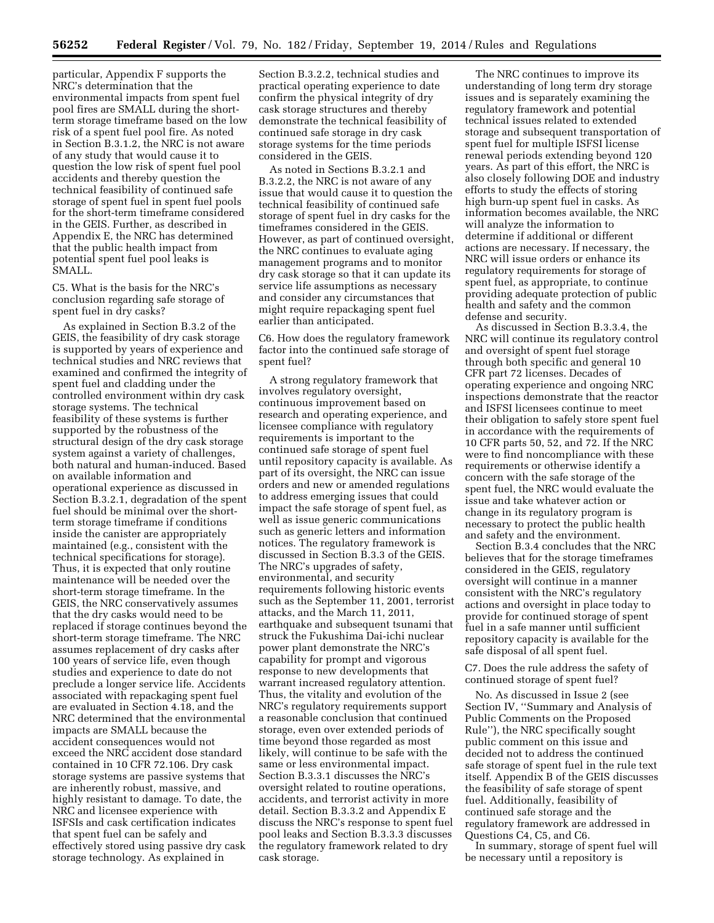particular, Appendix F supports the NRC's determination that the environmental impacts from spent fuel pool fires are SMALL during the shortterm storage timeframe based on the low risk of a spent fuel pool fire. As noted in Section B.3.1.2, the NRC is not aware of any study that would cause it to question the low risk of spent fuel pool accidents and thereby question the technical feasibility of continued safe storage of spent fuel in spent fuel pools for the short-term timeframe considered in the GEIS. Further, as described in Appendix E, the NRC has determined that the public health impact from potential spent fuel pool leaks is SMALL.

C5. What is the basis for the NRC's conclusion regarding safe storage of spent fuel in dry casks?

As explained in Section B.3.2 of the GEIS, the feasibility of dry cask storage is supported by years of experience and technical studies and NRC reviews that examined and confirmed the integrity of spent fuel and cladding under the controlled environment within dry cask storage systems. The technical feasibility of these systems is further supported by the robustness of the structural design of the dry cask storage system against a variety of challenges, both natural and human-induced. Based on available information and operational experience as discussed in Section B.3.2.1, degradation of the spent fuel should be minimal over the shortterm storage timeframe if conditions inside the canister are appropriately maintained (e.g., consistent with the technical specifications for storage). Thus, it is expected that only routine maintenance will be needed over the short-term storage timeframe. In the GEIS, the NRC conservatively assumes that the dry casks would need to be replaced if storage continues beyond the short-term storage timeframe. The NRC assumes replacement of dry casks after 100 years of service life, even though studies and experience to date do not preclude a longer service life. Accidents associated with repackaging spent fuel are evaluated in Section 4.18, and the NRC determined that the environmental impacts are SMALL because the accident consequences would not exceed the NRC accident dose standard contained in 10 CFR 72.106. Dry cask storage systems are passive systems that are inherently robust, massive, and highly resistant to damage. To date, the NRC and licensee experience with ISFSIs and cask certification indicates that spent fuel can be safely and effectively stored using passive dry cask storage technology. As explained in

Section B.3.2.2, technical studies and practical operating experience to date confirm the physical integrity of dry cask storage structures and thereby demonstrate the technical feasibility of continued safe storage in dry cask storage systems for the time periods considered in the GEIS.

As noted in Sections B.3.2.1 and B.3.2.2, the NRC is not aware of any issue that would cause it to question the technical feasibility of continued safe storage of spent fuel in dry casks for the timeframes considered in the GEIS. However, as part of continued oversight, the NRC continues to evaluate aging management programs and to monitor dry cask storage so that it can update its service life assumptions as necessary and consider any circumstances that might require repackaging spent fuel earlier than anticipated.

C6. How does the regulatory framework factor into the continued safe storage of spent fuel?

A strong regulatory framework that involves regulatory oversight, continuous improvement based on research and operating experience, and licensee compliance with regulatory requirements is important to the continued safe storage of spent fuel until repository capacity is available. As part of its oversight, the NRC can issue orders and new or amended regulations to address emerging issues that could impact the safe storage of spent fuel, as well as issue generic communications such as generic letters and information notices. The regulatory framework is discussed in Section B.3.3 of the GEIS. The NRC's upgrades of safety, environmental, and security requirements following historic events such as the September 11, 2001, terrorist attacks, and the March 11, 2011, earthquake and subsequent tsunami that struck the Fukushima Dai-ichi nuclear power plant demonstrate the NRC's capability for prompt and vigorous response to new developments that warrant increased regulatory attention. Thus, the vitality and evolution of the NRC's regulatory requirements support a reasonable conclusion that continued storage, even over extended periods of time beyond those regarded as most likely, will continue to be safe with the same or less environmental impact. Section B.3.3.1 discusses the NRC's oversight related to routine operations, accidents, and terrorist activity in more detail. Section B.3.3.2 and Appendix E discuss the NRC's response to spent fuel pool leaks and Section B.3.3.3 discusses the regulatory framework related to dry cask storage.

The NRC continues to improve its understanding of long term dry storage issues and is separately examining the regulatory framework and potential technical issues related to extended storage and subsequent transportation of spent fuel for multiple ISFSI license renewal periods extending beyond 120 years. As part of this effort, the NRC is also closely following DOE and industry efforts to study the effects of storing high burn-up spent fuel in casks. As information becomes available, the NRC will analyze the information to determine if additional or different actions are necessary. If necessary, the NRC will issue orders or enhance its regulatory requirements for storage of spent fuel, as appropriate, to continue providing adequate protection of public health and safety and the common defense and security.

As discussed in Section B.3.3.4, the NRC will continue its regulatory control and oversight of spent fuel storage through both specific and general 10 CFR part 72 licenses. Decades of operating experience and ongoing NRC inspections demonstrate that the reactor and ISFSI licensees continue to meet their obligation to safely store spent fuel in accordance with the requirements of 10 CFR parts 50, 52, and 72. If the NRC were to find noncompliance with these requirements or otherwise identify a concern with the safe storage of the spent fuel, the NRC would evaluate the issue and take whatever action or change in its regulatory program is necessary to protect the public health and safety and the environment.

Section B.3.4 concludes that the NRC believes that for the storage timeframes considered in the GEIS, regulatory oversight will continue in a manner consistent with the NRC's regulatory actions and oversight in place today to provide for continued storage of spent fuel in a safe manner until sufficient repository capacity is available for the safe disposal of all spent fuel.

C7. Does the rule address the safety of continued storage of spent fuel?

No. As discussed in Issue 2 (see Section IV, ''Summary and Analysis of Public Comments on the Proposed Rule''), the NRC specifically sought public comment on this issue and decided not to address the continued safe storage of spent fuel in the rule text itself. Appendix B of the GEIS discusses the feasibility of safe storage of spent fuel. Additionally, feasibility of continued safe storage and the regulatory framework are addressed in Questions C4, C5, and C6.

In summary, storage of spent fuel will be necessary until a repository is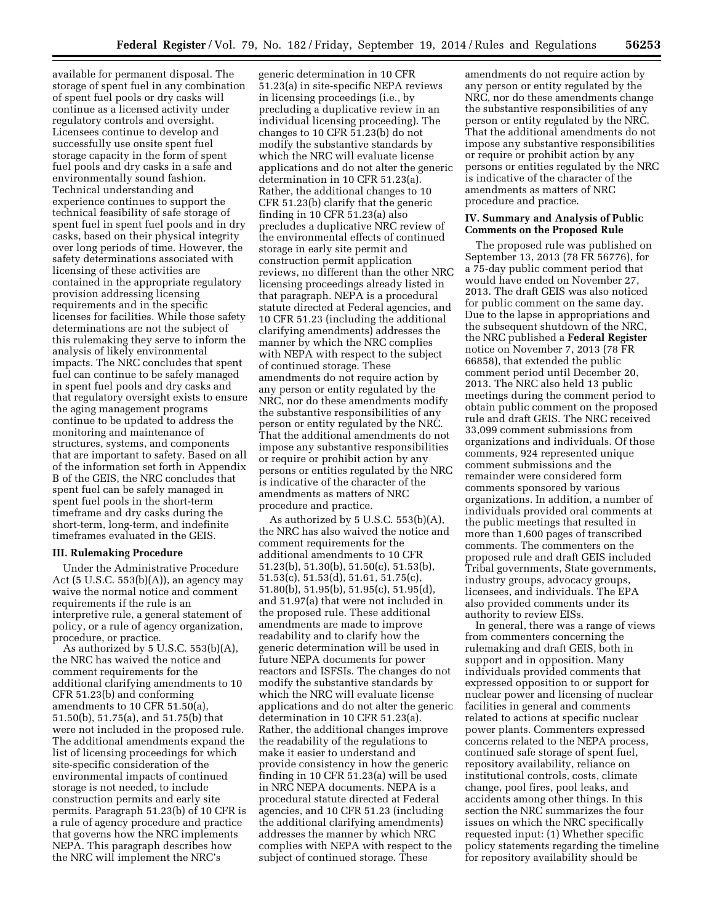available for permanent disposal. The storage of spent fuel in any combination of spent fuel pools or dry casks will continue as a licensed activity under regulatory controls and oversight. Licensees continue to develop and successfully use onsite spent fuel storage capacity in the form of spent fuel pools and dry casks in a safe and environmentally sound fashion. Technical understanding and experience continues to support the technical feasibility of safe storage of spent fuel in spent fuel pools and in dry casks, based on their physical integrity over long periods of time. However, the safety determinations associated with licensing of these activities are contained in the appropriate regulatory provision addressing licensing requirements and in the specific licenses for facilities. While those safety determinations are not the subject of this rulemaking they serve to inform the analysis of likely environmental impacts. The NRC concludes that spent fuel can continue to be safely managed in spent fuel pools and dry casks and that regulatory oversight exists to ensure the aging management programs continue to be updated to address the monitoring and maintenance of structures, systems, and components that are important to safety. Based on all of the information set forth in Appendix B of the GEIS, the NRC concludes that spent fuel can be safely managed in spent fuel pools in the short-term timeframe and dry casks during the short-term, long-term, and indefinite timeframes evaluated in the GEIS.

### **III. Rulemaking Procedure**

Under the Administrative Procedure Act (5 U.S.C. 553(b)(A)), an agency may waive the normal notice and comment requirements if the rule is an interpretive rule, a general statement of policy, or a rule of agency organization, procedure, or practice.

As authorized by 5 U.S.C. 553(b)(A), the NRC has waived the notice and comment requirements for the additional clarifying amendments to 10 CFR 51.23(b) and conforming amendments to 10 CFR 51.50(a), 51.50(b), 51.75(a), and 51.75(b) that were not included in the proposed rule. The additional amendments expand the list of licensing proceedings for which site-specific consideration of the environmental impacts of continued storage is not needed, to include construction permits and early site permits. Paragraph 51.23(b) of 10 CFR is a rule of agency procedure and practice that governs how the NRC implements NEPA. This paragraph describes how the NRC will implement the NRC's

generic determination in 10 CFR 51.23(a) in site-specific NEPA reviews in licensing proceedings (i.e., by precluding a duplicative review in an individual licensing proceeding). The changes to 10 CFR 51.23(b) do not modify the substantive standards by which the NRC will evaluate license applications and do not alter the generic determination in 10 CFR 51.23(a). Rather, the additional changes to 10 CFR 51.23(b) clarify that the generic finding in 10 CFR 51.23(a) also precludes a duplicative NRC review of the environmental effects of continued storage in early site permit and construction permit application reviews, no different than the other NRC licensing proceedings already listed in that paragraph. NEPA is a procedural statute directed at Federal agencies, and 10 CFR 51.23 (including the additional clarifying amendments) addresses the manner by which the NRC complies with NEPA with respect to the subject of continued storage. These amendments do not require action by any person or entity regulated by the NRC, nor do these amendments modify the substantive responsibilities of any person or entity regulated by the NRC. That the additional amendments do not impose any substantive responsibilities or require or prohibit action by any persons or entities regulated by the NRC is indicative of the character of the amendments as matters of NRC procedure and practice.

As authorized by 5 U.S.C. 553(b)(A), the NRC has also waived the notice and comment requirements for the additional amendments to 10 CFR 51.23(b), 51.30(b), 51.50(c), 51.53(b), 51.53(c), 51.53(d), 51.61, 51.75(c), 51.80(b), 51.95(b), 51.95(c), 51.95(d), and 51.97(a) that were not included in the proposed rule. These additional amendments are made to improve readability and to clarify how the generic determination will be used in future NEPA documents for power reactors and ISFSIs. The changes do not modify the substantive standards by which the NRC will evaluate license applications and do not alter the generic determination in 10 CFR 51.23(a). Rather, the additional changes improve the readability of the regulations to make it easier to understand and provide consistency in how the generic finding in 10 CFR 51.23(a) will be used in NRC NEPA documents. NEPA is a procedural statute directed at Federal agencies, and 10 CFR 51.23 (including the additional clarifying amendments) addresses the manner by which NRC complies with NEPA with respect to the subject of continued storage. These

amendments do not require action by any person or entity regulated by the NRC, nor do these amendments change the substantive responsibilities of any person or entity regulated by the NRC. That the additional amendments do not impose any substantive responsibilities or require or prohibit action by any persons or entities regulated by the NRC is indicative of the character of the amendments as matters of NRC procedure and practice.

### **IV. Summary and Analysis of Public Comments on the Proposed Rule**

The proposed rule was published on September 13, 2013 (78 FR 56776), for a 75-day public comment period that would have ended on November 27, 2013. The draft GEIS was also noticed for public comment on the same day. Due to the lapse in appropriations and the subsequent shutdown of the NRC, the NRC published a **Federal Register**  notice on November 7, 2013 (78 FR 66858), that extended the public comment period until December 20, 2013. The NRC also held 13 public meetings during the comment period to obtain public comment on the proposed rule and draft GEIS. The NRC received 33,099 comment submissions from organizations and individuals. Of those comments, 924 represented unique comment submissions and the remainder were considered form comments sponsored by various organizations. In addition, a number of individuals provided oral comments at the public meetings that resulted in more than 1,600 pages of transcribed comments. The commenters on the proposed rule and draft GEIS included Tribal governments, State governments, industry groups, advocacy groups, licensees, and individuals. The EPA also provided comments under its authority to review EISs.

In general, there was a range of views from commenters concerning the rulemaking and draft GEIS, both in support and in opposition. Many individuals provided comments that expressed opposition to or support for nuclear power and licensing of nuclear facilities in general and comments related to actions at specific nuclear power plants. Commenters expressed concerns related to the NEPA process, continued safe storage of spent fuel, repository availability, reliance on institutional controls, costs, climate change, pool fires, pool leaks, and accidents among other things. In this section the NRC summarizes the four issues on which the NRC specifically requested input: (1) Whether specific policy statements regarding the timeline for repository availability should be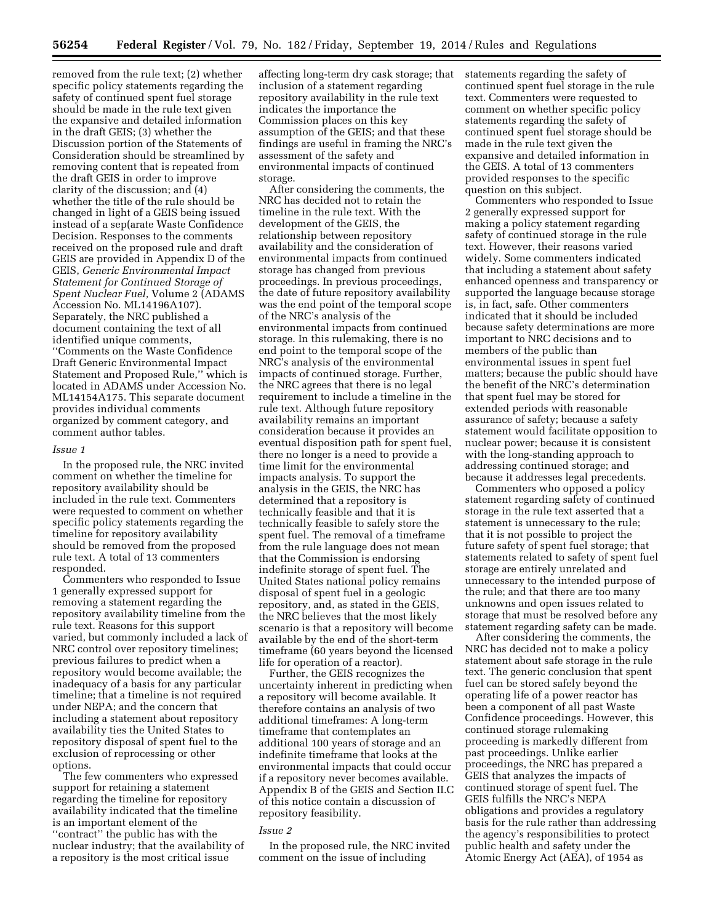removed from the rule text; (2) whether specific policy statements regarding the safety of continued spent fuel storage should be made in the rule text given the expansive and detailed information in the draft GEIS; (3) whether the Discussion portion of the Statements of Consideration should be streamlined by removing content that is repeated from the draft GEIS in order to improve clarity of the discussion; and (4) whether the title of the rule should be changed in light of a GEIS being issued instead of a sep(arate Waste Confidence Decision. Responses to the comments received on the proposed rule and draft GEIS are provided in Appendix D of the GEIS, *Generic Environmental Impact Statement for Continued Storage of Spent Nuclear Fuel,* Volume 2 (ADAMS Accession No. ML14196A107). Separately, the NRC published a document containing the text of all identified unique comments, ''Comments on the Waste Confidence Draft Generic Environmental Impact Statement and Proposed Rule,'' which is located in ADAMS under Accession No. ML14154A175. This separate document provides individual comments organized by comment category, and comment author tables.

#### *Issue 1*

In the proposed rule, the NRC invited comment on whether the timeline for repository availability should be included in the rule text. Commenters were requested to comment on whether specific policy statements regarding the timeline for repository availability should be removed from the proposed rule text. A total of 13 commenters responded.

Commenters who responded to Issue 1 generally expressed support for removing a statement regarding the repository availability timeline from the rule text. Reasons for this support varied, but commonly included a lack of NRC control over repository timelines; previous failures to predict when a repository would become available; the inadequacy of a basis for any particular timeline; that a timeline is not required under NEPA; and the concern that including a statement about repository availability ties the United States to repository disposal of spent fuel to the exclusion of reprocessing or other options.

The few commenters who expressed support for retaining a statement regarding the timeline for repository availability indicated that the timeline is an important element of the ''contract'' the public has with the nuclear industry; that the availability of a repository is the most critical issue

affecting long-term dry cask storage; that inclusion of a statement regarding repository availability in the rule text indicates the importance the Commission places on this key assumption of the GEIS; and that these findings are useful in framing the NRC's assessment of the safety and environmental impacts of continued storage.

After considering the comments, the NRC has decided not to retain the timeline in the rule text. With the development of the GEIS, the relationship between repository availability and the consideration of environmental impacts from continued storage has changed from previous proceedings. In previous proceedings, the date of future repository availability was the end point of the temporal scope of the NRC's analysis of the environmental impacts from continued storage. In this rulemaking, there is no end point to the temporal scope of the NRC's analysis of the environmental impacts of continued storage. Further, the NRC agrees that there is no legal requirement to include a timeline in the rule text. Although future repository availability remains an important consideration because it provides an eventual disposition path for spent fuel, there no longer is a need to provide a time limit for the environmental impacts analysis. To support the analysis in the GEIS, the NRC has determined that a repository is technically feasible and that it is technically feasible to safely store the spent fuel. The removal of a timeframe from the rule language does not mean that the Commission is endorsing indefinite storage of spent fuel. The United States national policy remains disposal of spent fuel in a geologic repository, and, as stated in the GEIS, the NRC believes that the most likely scenario is that a repository will become available by the end of the short-term timeframe (60 years beyond the licensed life for operation of a reactor).

Further, the GEIS recognizes the uncertainty inherent in predicting when a repository will become available. It therefore contains an analysis of two additional timeframes: A long-term timeframe that contemplates an additional 100 years of storage and an indefinite timeframe that looks at the environmental impacts that could occur if a repository never becomes available. Appendix B of the GEIS and Section II.C of this notice contain a discussion of repository feasibility.

#### *Issue 2*

In the proposed rule, the NRC invited comment on the issue of including

statements regarding the safety of continued spent fuel storage in the rule text. Commenters were requested to comment on whether specific policy statements regarding the safety of continued spent fuel storage should be made in the rule text given the expansive and detailed information in the GEIS. A total of 13 commenters provided responses to the specific question on this subject.

Commenters who responded to Issue 2 generally expressed support for making a policy statement regarding safety of continued storage in the rule text. However, their reasons varied widely. Some commenters indicated that including a statement about safety enhanced openness and transparency or supported the language because storage is, in fact, safe. Other commenters indicated that it should be included because safety determinations are more important to NRC decisions and to members of the public than environmental issues in spent fuel matters; because the public should have the benefit of the NRC's determination that spent fuel may be stored for extended periods with reasonable assurance of safety; because a safety statement would facilitate opposition to nuclear power; because it is consistent with the long-standing approach to addressing continued storage; and because it addresses legal precedents.

Commenters who opposed a policy statement regarding safety of continued storage in the rule text asserted that a statement is unnecessary to the rule; that it is not possible to project the future safety of spent fuel storage; that statements related to safety of spent fuel storage are entirely unrelated and unnecessary to the intended purpose of the rule; and that there are too many unknowns and open issues related to storage that must be resolved before any statement regarding safety can be made.

After considering the comments, the NRC has decided not to make a policy statement about safe storage in the rule text. The generic conclusion that spent fuel can be stored safely beyond the operating life of a power reactor has been a component of all past Waste Confidence proceedings. However, this continued storage rulemaking proceeding is markedly different from past proceedings. Unlike earlier proceedings, the NRC has prepared a GEIS that analyzes the impacts of continued storage of spent fuel. The GEIS fulfills the NRC's NEPA obligations and provides a regulatory basis for the rule rather than addressing the agency's responsibilities to protect public health and safety under the Atomic Energy Act (AEA), of 1954 as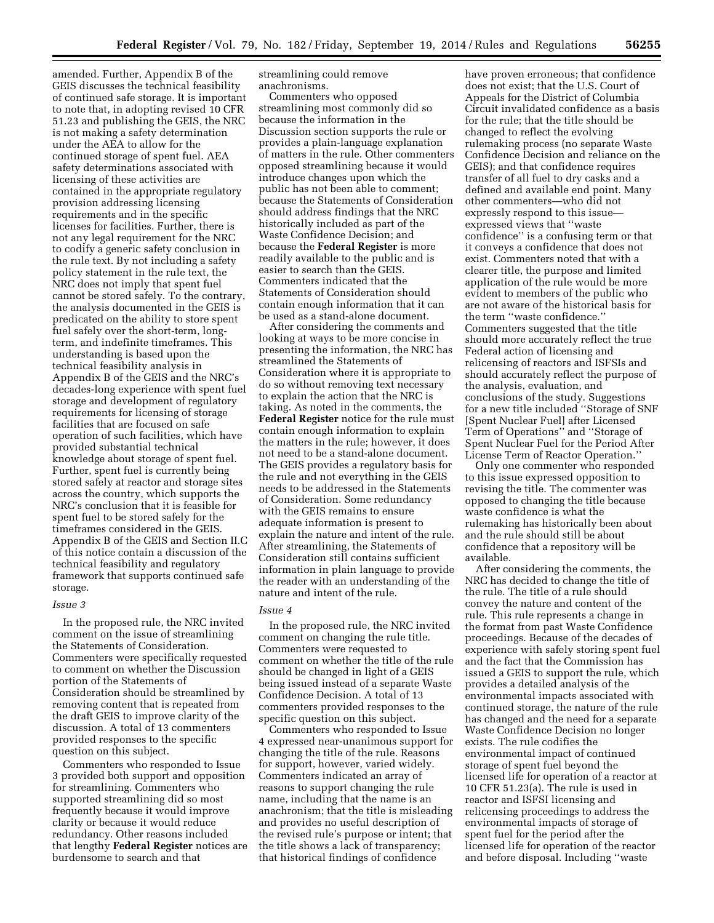amended. Further, Appendix B of the GEIS discusses the technical feasibility of continued safe storage. It is important to note that, in adopting revised 10 CFR 51.23 and publishing the GEIS, the NRC is not making a safety determination under the AEA to allow for the continued storage of spent fuel. AEA safety determinations associated with licensing of these activities are contained in the appropriate regulatory provision addressing licensing requirements and in the specific licenses for facilities. Further, there is not any legal requirement for the NRC to codify a generic safety conclusion in the rule text. By not including a safety policy statement in the rule text, the NRC does not imply that spent fuel cannot be stored safely. To the contrary, the analysis documented in the GEIS is predicated on the ability to store spent fuel safely over the short-term, longterm, and indefinite timeframes. This understanding is based upon the technical feasibility analysis in Appendix B of the GEIS and the NRC's decades-long experience with spent fuel storage and development of regulatory requirements for licensing of storage facilities that are focused on safe operation of such facilities, which have provided substantial technical knowledge about storage of spent fuel. Further, spent fuel is currently being stored safely at reactor and storage sites across the country, which supports the NRC's conclusion that it is feasible for spent fuel to be stored safely for the timeframes considered in the GEIS. Appendix B of the GEIS and Section II.C of this notice contain a discussion of the technical feasibility and regulatory framework that supports continued safe storage.

#### *Issue 3*

In the proposed rule, the NRC invited comment on the issue of streamlining the Statements of Consideration. Commenters were specifically requested to comment on whether the Discussion portion of the Statements of Consideration should be streamlined by removing content that is repeated from the draft GEIS to improve clarity of the discussion. A total of 13 commenters provided responses to the specific question on this subject.

Commenters who responded to Issue 3 provided both support and opposition for streamlining. Commenters who supported streamlining did so most frequently because it would improve clarity or because it would reduce redundancy. Other reasons included that lengthy **Federal Register** notices are burdensome to search and that

streamlining could remove anachronisms.

Commenters who opposed streamlining most commonly did so because the information in the Discussion section supports the rule or provides a plain-language explanation of matters in the rule. Other commenters opposed streamlining because it would introduce changes upon which the public has not been able to comment; because the Statements of Consideration should address findings that the NRC historically included as part of the Waste Confidence Decision; and because the **Federal Register** is more readily available to the public and is easier to search than the GEIS. Commenters indicated that the Statements of Consideration should contain enough information that it can be used as a stand-alone document.

After considering the comments and looking at ways to be more concise in presenting the information, the NRC has streamlined the Statements of Consideration where it is appropriate to do so without removing text necessary to explain the action that the NRC is taking. As noted in the comments, the **Federal Register** notice for the rule must contain enough information to explain the matters in the rule; however, it does not need to be a stand-alone document. The GEIS provides a regulatory basis for the rule and not everything in the GEIS needs to be addressed in the Statements of Consideration. Some redundancy with the GEIS remains to ensure adequate information is present to explain the nature and intent of the rule. After streamlining, the Statements of Consideration still contains sufficient information in plain language to provide the reader with an understanding of the nature and intent of the rule.

#### *Issue 4*

In the proposed rule, the NRC invited comment on changing the rule title. Commenters were requested to comment on whether the title of the rule should be changed in light of a GEIS being issued instead of a separate Waste Confidence Decision. A total of 13 commenters provided responses to the specific question on this subject.

Commenters who responded to Issue 4 expressed near-unanimous support for changing the title of the rule. Reasons for support, however, varied widely. Commenters indicated an array of reasons to support changing the rule name, including that the name is an anachronism; that the title is misleading and provides no useful description of the revised rule's purpose or intent; that the title shows a lack of transparency; that historical findings of confidence

have proven erroneous; that confidence does not exist; that the U.S. Court of Appeals for the District of Columbia Circuit invalidated confidence as a basis for the rule; that the title should be changed to reflect the evolving rulemaking process (no separate Waste Confidence Decision and reliance on the GEIS); and that confidence requires transfer of all fuel to dry casks and a defined and available end point. Many other commenters—who did not expressly respond to this issue expressed views that ''waste confidence'' is a confusing term or that it conveys a confidence that does not exist. Commenters noted that with a clearer title, the purpose and limited application of the rule would be more evident to members of the public who are not aware of the historical basis for the term ''waste confidence.'' Commenters suggested that the title should more accurately reflect the true Federal action of licensing and relicensing of reactors and ISFSIs and should accurately reflect the purpose of the analysis, evaluation, and conclusions of the study. Suggestions for a new title included ''Storage of SNF [Spent Nuclear Fuel] after Licensed Term of Operations'' and ''Storage of Spent Nuclear Fuel for the Period After License Term of Reactor Operation.''

Only one commenter who responded to this issue expressed opposition to revising the title. The commenter was opposed to changing the title because waste confidence is what the rulemaking has historically been about and the rule should still be about confidence that a repository will be available.

After considering the comments, the NRC has decided to change the title of the rule. The title of a rule should convey the nature and content of the rule. This rule represents a change in the format from past Waste Confidence proceedings. Because of the decades of experience with safely storing spent fuel and the fact that the Commission has issued a GEIS to support the rule, which provides a detailed analysis of the environmental impacts associated with continued storage, the nature of the rule has changed and the need for a separate Waste Confidence Decision no longer exists. The rule codifies the environmental impact of continued storage of spent fuel beyond the licensed life for operation of a reactor at 10 CFR 51.23(a). The rule is used in reactor and ISFSI licensing and relicensing proceedings to address the environmental impacts of storage of spent fuel for the period after the licensed life for operation of the reactor and before disposal. Including ''waste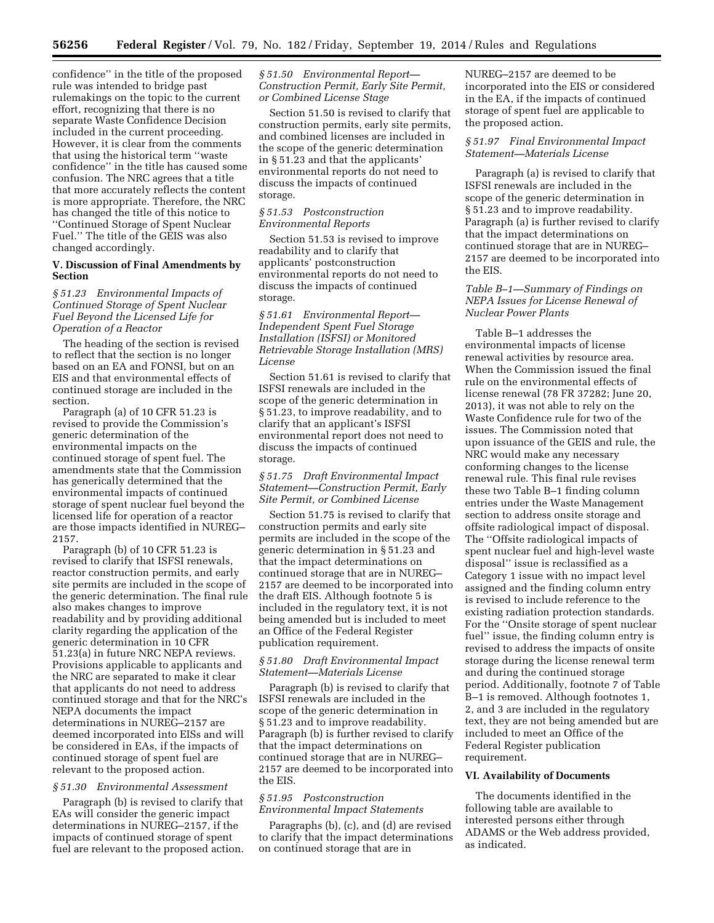confidence'' in the title of the proposed rule was intended to bridge past rulemakings on the topic to the current effort, recognizing that there is no separate Waste Confidence Decision included in the current proceeding. However, it is clear from the comments that using the historical term ''waste confidence'' in the title has caused some confusion. The NRC agrees that a title that more accurately reflects the content is more appropriate. Therefore, the NRC has changed the title of this notice to ''Continued Storage of Spent Nuclear Fuel.'' The title of the GEIS was also changed accordingly.

### **V. Discussion of Final Amendments by Section**

### *§ 51.23 Environmental Impacts of Continued Storage of Spent Nuclear Fuel Beyond the Licensed Life for Operation of a Reactor*

The heading of the section is revised to reflect that the section is no longer based on an EA and FONSI, but on an EIS and that environmental effects of continued storage are included in the section.

Paragraph (a) of 10 CFR 51.23 is revised to provide the Commission's generic determination of the environmental impacts on the continued storage of spent fuel. The amendments state that the Commission has generically determined that the environmental impacts of continued storage of spent nuclear fuel beyond the licensed life for operation of a reactor are those impacts identified in NUREG– 2157.

Paragraph (b) of 10 CFR 51.23 is revised to clarify that ISFSI renewals, reactor construction permits, and early site permits are included in the scope of the generic determination. The final rule also makes changes to improve readability and by providing additional clarity regarding the application of the generic determination in 10 CFR 51.23(a) in future NRC NEPA reviews. Provisions applicable to applicants and the NRC are separated to make it clear that applicants do not need to address continued storage and that for the NRC's NEPA documents the impact determinations in NUREG–2157 are deemed incorporated into EISs and will be considered in EAs, if the impacts of continued storage of spent fuel are relevant to the proposed action.

#### *§ 51.30 Environmental Assessment*

Paragraph (b) is revised to clarify that EAs will consider the generic impact determinations in NUREG–2157, if the impacts of continued storage of spent fuel are relevant to the proposed action. *§ 51.50 Environmental Report— Construction Permit, Early Site Permit, or Combined License Stage* 

Section 51.50 is revised to clarify that construction permits, early site permits, and combined licenses are included in the scope of the generic determination in § 51.23 and that the applicants' environmental reports do not need to discuss the impacts of continued storage.

## *§ 51.53 Postconstruction Environmental Reports*

Section 51.53 is revised to improve readability and to clarify that applicants' postconstruction environmental reports do not need to discuss the impacts of continued storage.

### *§ 51.61 Environmental Report— Independent Spent Fuel Storage Installation (ISFSI) or Monitored Retrievable Storage Installation (MRS) License*

Section 51.61 is revised to clarify that ISFSI renewals are included in the scope of the generic determination in § 51.23, to improve readability, and to clarify that an applicant's ISFSI environmental report does not need to discuss the impacts of continued storage.

#### *§ 51.75 Draft Environmental Impact Statement—Construction Permit, Early Site Permit, or Combined License*

Section 51.75 is revised to clarify that construction permits and early site permits are included in the scope of the generic determination in § 51.23 and that the impact determinations on continued storage that are in NUREG– 2157 are deemed to be incorporated into the draft EIS. Although footnote 5 is included in the regulatory text, it is not being amended but is included to meet an Office of the Federal Register publication requirement.

### *§ 51.80 Draft Environmental Impact Statement—Materials License*

Paragraph (b) is revised to clarify that ISFSI renewals are included in the scope of the generic determination in § 51.23 and to improve readability. Paragraph (b) is further revised to clarify that the impact determinations on continued storage that are in NUREG– 2157 are deemed to be incorporated into the EIS.

# *§ 51.95 Postconstruction Environmental Impact Statements*

Paragraphs (b), (c), and (d) are revised to clarify that the impact determinations on continued storage that are in

NUREG–2157 are deemed to be incorporated into the EIS or considered in the EA, if the impacts of continued storage of spent fuel are applicable to the proposed action.

## *§ 51.97 Final Environmental Impact Statement—Materials License*

Paragraph (a) is revised to clarify that ISFSI renewals are included in the scope of the generic determination in § 51.23 and to improve readability. Paragraph (a) is further revised to clarify that the impact determinations on continued storage that are in NUREG– 2157 are deemed to be incorporated into the EIS.

### *Table B–1—Summary of Findings on NEPA Issues for License Renewal of Nuclear Power Plants*

Table B–1 addresses the environmental impacts of license renewal activities by resource area. When the Commission issued the final rule on the environmental effects of license renewal (78 FR 37282; June 20, 2013), it was not able to rely on the Waste Confidence rule for two of the issues. The Commission noted that upon issuance of the GEIS and rule, the NRC would make any necessary conforming changes to the license renewal rule. This final rule revises these two Table B–1 finding column entries under the Waste Management section to address onsite storage and offsite radiological impact of disposal. The ''Offsite radiological impacts of spent nuclear fuel and high-level waste disposal'' issue is reclassified as a Category 1 issue with no impact level assigned and the finding column entry is revised to include reference to the existing radiation protection standards. For the ''Onsite storage of spent nuclear fuel'' issue, the finding column entry is revised to address the impacts of onsite storage during the license renewal term and during the continued storage period. Additionally, footnote 7 of Table B–1 is removed. Although footnotes 1, 2, and 3 are included in the regulatory text, they are not being amended but are included to meet an Office of the Federal Register publication requirement.

# **VI. Availability of Documents**

The documents identified in the following table are available to interested persons either through ADAMS or the Web address provided, as indicated.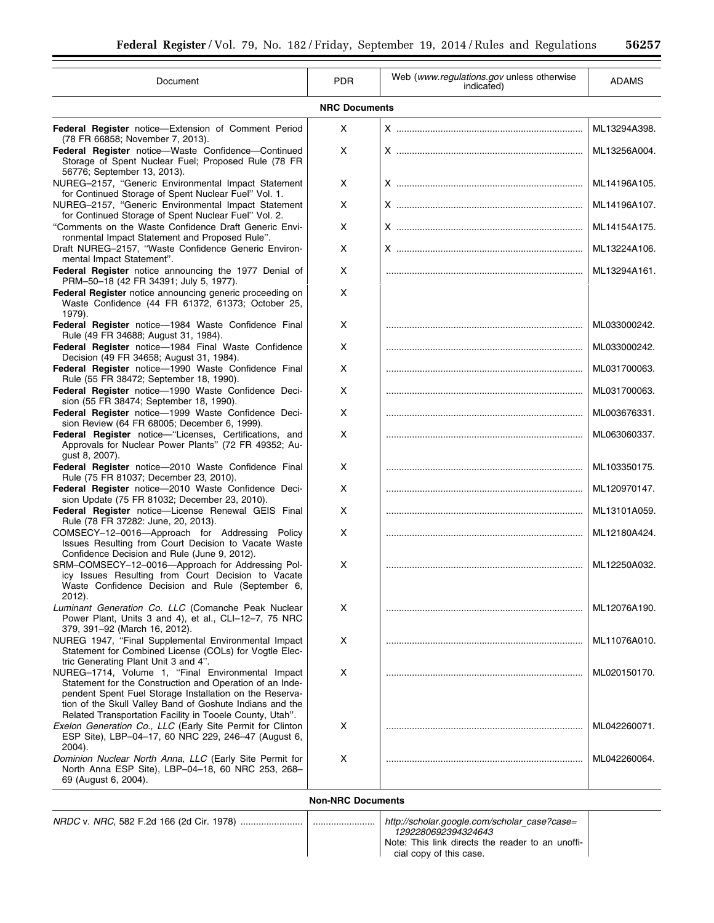| Document                                                                                                                                                                                                                                                                                         | <b>PDR</b>           | Web (www.regulations.gov unless otherwise<br>indicated) | <b>ADAMS</b> |
|--------------------------------------------------------------------------------------------------------------------------------------------------------------------------------------------------------------------------------------------------------------------------------------------------|----------------------|---------------------------------------------------------|--------------|
|                                                                                                                                                                                                                                                                                                  | <b>NRC Documents</b> |                                                         |              |
| <b>Federal Register</b> notice-Extension of Comment Period                                                                                                                                                                                                                                       | X                    |                                                         | ML13294A398. |
| (78 FR 66858; November 7, 2013).<br>Federal Register notice-Waste Confidence-Continued<br>Storage of Spent Nuclear Fuel; Proposed Rule (78 FR<br>56776; September 13, 2013).                                                                                                                     | X                    |                                                         | ML13256A004. |
| NUREG-2157, "Generic Environmental Impact Statement<br>for Continued Storage of Spent Nuclear Fuel" Vol. 1.                                                                                                                                                                                      | X                    |                                                         | ML14196A105. |
| NUREG-2157, "Generic Environmental Impact Statement<br>for Continued Storage of Spent Nuclear Fuel" Vol. 2.                                                                                                                                                                                      | X                    |                                                         | ML14196A107. |
| "Comments on the Waste Confidence Draft Generic Envi-<br>ronmental Impact Statement and Proposed Rule".                                                                                                                                                                                          | X                    |                                                         | ML14154A175. |
| Draft NUREG-2157, "Waste Confidence Generic Environ-<br>mental Impact Statement".                                                                                                                                                                                                                | X                    |                                                         | ML13224A106. |
| Federal Register notice announcing the 1977 Denial of<br>PRM-50-18 (42 FR 34391; July 5, 1977).                                                                                                                                                                                                  | X                    |                                                         | ML13294A161. |
| Federal Register notice announcing generic proceeding on<br>Waste Confidence (44 FR 61372, 61373; October 25,<br>1979).                                                                                                                                                                          | X                    |                                                         |              |
| Federal Register notice-1984 Waste Confidence Final<br>Rule (49 FR 34688; August 31, 1984).                                                                                                                                                                                                      | X                    |                                                         | ML033000242. |
| Federal Register notice-1984 Final Waste Confidence<br>Decision (49 FR 34658; August 31, 1984).                                                                                                                                                                                                  | Χ                    |                                                         | ML033000242. |
| Federal Register notice-1990 Waste Confidence Final<br>Rule (55 FR 38472; September 18, 1990).                                                                                                                                                                                                   | Χ                    |                                                         | ML031700063. |
| Federal Register notice-1990 Waste Confidence Deci-<br>sion (55 FR 38474; September 18, 1990).                                                                                                                                                                                                   | Χ                    |                                                         | ML031700063. |
| Federal Register notice-1999 Waste Confidence Deci-<br>sion Review (64 FR 68005; December 6, 1999).                                                                                                                                                                                              | X                    |                                                         | ML003676331. |
| Federal Register notice-"Licenses, Certifications, and<br>Approvals for Nuclear Power Plants" (72 FR 49352; Au-<br>gust 8, 2007).                                                                                                                                                                | X                    |                                                         | ML063060337. |
| Federal Register notice-2010 Waste Confidence Final<br>Rule (75 FR 81037; December 23, 2010).                                                                                                                                                                                                    | Χ                    |                                                         | ML103350175. |
| Federal Register notice-2010 Waste Confidence Deci-<br>sion Update (75 FR 81032; December 23, 2010).                                                                                                                                                                                             | Χ                    |                                                         | ML120970147. |
| Federal Register notice-License Renewal GEIS Final<br>Rule (78 FR 37282: June, 20, 2013).                                                                                                                                                                                                        | X                    |                                                         | ML13101A059. |
| COMSECY-12-0016-Approach for Addressing Policy<br>Issues Resulting from Court Decision to Vacate Waste<br>Confidence Decision and Rule (June 9, 2012).                                                                                                                                           | X                    |                                                         | ML12180A424. |
| SRM-COMSECY-12-0016-Approach for Addressing Pol-<br>icy Issues Resulting from Court Decision to Vacate<br>Waste Confidence Decision and Rule (September 6,<br>2012).                                                                                                                             | X                    |                                                         | ML12250A032. |
| Luminant Generation Co. LLC (Comanche Peak Nuclear<br>Power Plant, Units 3 and 4), et al., CLI-12-7, 75 NRC<br>379, 391-92 (March 16, 2012).                                                                                                                                                     | Χ                    |                                                         | ML12076A190. |
| NUREG 1947, "Final Supplemental Environmental Impact<br>Statement for Combined License (COLs) for Vogtle Elec-<br>tric Generating Plant Unit 3 and 4".                                                                                                                                           | X                    |                                                         | ML11076A010. |
| NUREG-1714, Volume 1, "Final Environmental Impact<br>Statement for the Construction and Operation of an Inde-<br>pendent Spent Fuel Storage Installation on the Reserva-<br>tion of the Skull Valley Band of Goshute Indians and the<br>Related Transportation Facility in Tooele County, Utah". | Χ                    |                                                         | ML020150170. |
| Exelon Generation Co., LLC (Early Site Permit for Clinton<br>ESP Site), LBP-04-17, 60 NRC 229, 246-47 (August 6,<br>$2004$ ).                                                                                                                                                                    | X                    |                                                         | ML042260071. |
| Dominion Nuclear North Anna, LLC (Early Site Permit for<br>North Anna ESP Site), LBP-04-18, 60 NRC 253, 268-<br>69 (August 6, 2004).                                                                                                                                                             | X                    |                                                         | ML042260064. |

# **Non-NRC Documents**

*NRDC* v. *NRC,* 582 F.2d 166 (2d Cir. 1978) ........................ ........................ *[http://scholar.google.com/scholar](http://scholar.google.com/scholar_case?case=1292280692394324643)*\_*case?case=*

*[1292280692394324643](http://scholar.google.com/scholar_case?case=1292280692394324643)*  Note: This link directs the reader to an unofficial copy of this case.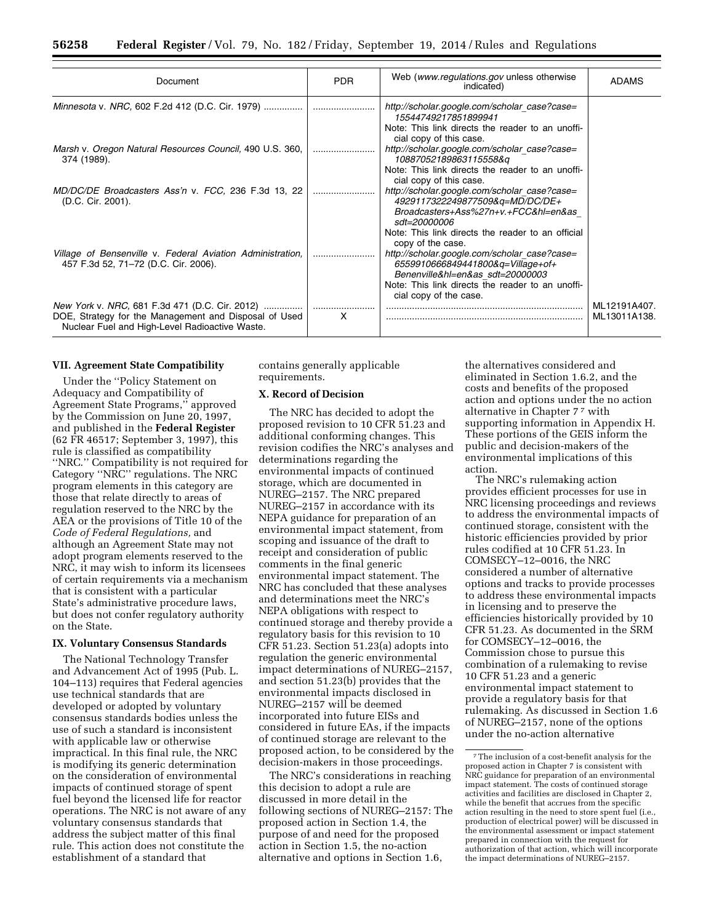| Document                                                                                                                                                  | <b>PDR</b> | Web (www.regulations.gov unless otherwise<br>indicated)                                                                                                                                                                                                                       | <b>ADAMS</b>                 |
|-----------------------------------------------------------------------------------------------------------------------------------------------------------|------------|-------------------------------------------------------------------------------------------------------------------------------------------------------------------------------------------------------------------------------------------------------------------------------|------------------------------|
| Minnesota v. NRC, 602 F.2d 412 (D.C. Cir. 1979)                                                                                                           |            | http://scholar.google.com/scholar_case?case=<br>15544749217851899941                                                                                                                                                                                                          |                              |
| Marsh v. Oregon Natural Resources Council, 490 U.S. 360,<br>374 (1989).                                                                                   |            | Note: This link directs the reader to an unoffi-<br>cial copy of this case.<br>http://scholar.google.com/scholar_case?case=<br>10887052189863115558&g<br>Note: This link directs the reader to an unoffi-                                                                     |                              |
| MD/DC/DE Broadcasters Ass'n v. FCC, 236 F.3d 13, 22<br>(D.C. Cir. 2001).                                                                                  |            | cial copy of this case.<br>http://scholar.google.com/scholar_case?case=<br>4929117322249877509&q=MD/DC/DE+<br>Broadcasters+Ass%27n+v.+FCC&hl=en&as<br>sdt=20000006                                                                                                            |                              |
| Village of Bensenville v. Federal Aviation Administration,<br>457 F.3d 52, 71-72 (D.C. Cir. 2006).                                                        |            | Note: This link directs the reader to an official<br>copy of the case.<br>http://scholar.google.com/scholar_case?case=<br>6559910666849441800&q=Village+of+<br>Benenville&hl=en&as sdt=20000003<br>Note: This link directs the reader to an unoffi-<br>cial copy of the case. |                              |
| New York v. NRC, 681 F.3d 471 (D.C. Cir. 2012)<br>DOE, Strategy for the Management and Disposal of Used<br>Nuclear Fuel and High-Level Radioactive Waste. | X          |                                                                                                                                                                                                                                                                               | ML12191A407.<br>ML13011A138. |

### **VII. Agreement State Compatibility**

Under the ''Policy Statement on Adequacy and Compatibility of Agreement State Programs,'' approved by the Commission on June 20, 1997, and published in the **Federal Register**  (62 FR 46517; September 3, 1997), this rule is classified as compatibility ''NRC.'' Compatibility is not required for Category ''NRC'' regulations. The NRC program elements in this category are those that relate directly to areas of regulation reserved to the NRC by the AEA or the provisions of Title 10 of the *Code of Federal Regulations,* and although an Agreement State may not adopt program elements reserved to the NRC, it may wish to inform its licensees of certain requirements via a mechanism that is consistent with a particular State's administrative procedure laws, but does not confer regulatory authority on the State.

### **IX. Voluntary Consensus Standards**

The National Technology Transfer and Advancement Act of 1995 (Pub. L. 104–113) requires that Federal agencies use technical standards that are developed or adopted by voluntary consensus standards bodies unless the use of such a standard is inconsistent with applicable law or otherwise impractical. In this final rule, the NRC is modifying its generic determination on the consideration of environmental impacts of continued storage of spent fuel beyond the licensed life for reactor operations. The NRC is not aware of any voluntary consensus standards that address the subject matter of this final rule. This action does not constitute the establishment of a standard that

contains generally applicable requirements.

## **X. Record of Decision**

The NRC has decided to adopt the proposed revision to 10 CFR 51.23 and additional conforming changes. This revision codifies the NRC's analyses and determinations regarding the environmental impacts of continued storage, which are documented in NUREG–2157. The NRC prepared NUREG–2157 in accordance with its NEPA guidance for preparation of an environmental impact statement, from scoping and issuance of the draft to receipt and consideration of public comments in the final generic environmental impact statement. The NRC has concluded that these analyses and determinations meet the NRC's NEPA obligations with respect to continued storage and thereby provide a regulatory basis for this revision to 10 CFR 51.23. Section 51.23(a) adopts into regulation the generic environmental impact determinations of NUREG–2157, and section 51.23(b) provides that the environmental impacts disclosed in NUREG–2157 will be deemed incorporated into future EISs and considered in future EAs, if the impacts of continued storage are relevant to the proposed action, to be considered by the decision-makers in those proceedings.

The NRC's considerations in reaching this decision to adopt a rule are discussed in more detail in the following sections of NUREG–2157: The proposed action in Section 1.4, the purpose of and need for the proposed action in Section 1.5, the no-action alternative and options in Section 1.6,

the alternatives considered and eliminated in Section 1.6.2, and the costs and benefits of the proposed action and options under the no action alternative in Chapter 77 with supporting information in Appendix H. These portions of the GEIS inform the public and decision-makers of the environmental implications of this action.

The NRC's rulemaking action provides efficient processes for use in NRC licensing proceedings and reviews to address the environmental impacts of continued storage, consistent with the historic efficiencies provided by prior rules codified at 10 CFR 51.23. In COMSECY–12–0016, the NRC considered a number of alternative options and tracks to provide processes to address these environmental impacts in licensing and to preserve the efficiencies historically provided by 10 CFR 51.23. As documented in the SRM for COMSECY–12–0016, the Commission chose to pursue this combination of a rulemaking to revise 10 CFR 51.23 and a generic environmental impact statement to provide a regulatory basis for that rulemaking. As discussed in Section 1.6 of NUREG–2157, none of the options under the no-action alternative

<sup>7</sup>The inclusion of a cost-benefit analysis for the proposed action in Chapter 7 is consistent with NRC guidance for preparation of an environmental impact statement. The costs of continued storage activities and facilities are disclosed in Chapter 2, while the benefit that accrues from the specific action resulting in the need to store spent fuel (i.e., production of electrical power) will be discussed in the environmental assessment or impact statement prepared in connection with the request for authorization of that action, which will incorporate the impact determinations of NUREG–2157.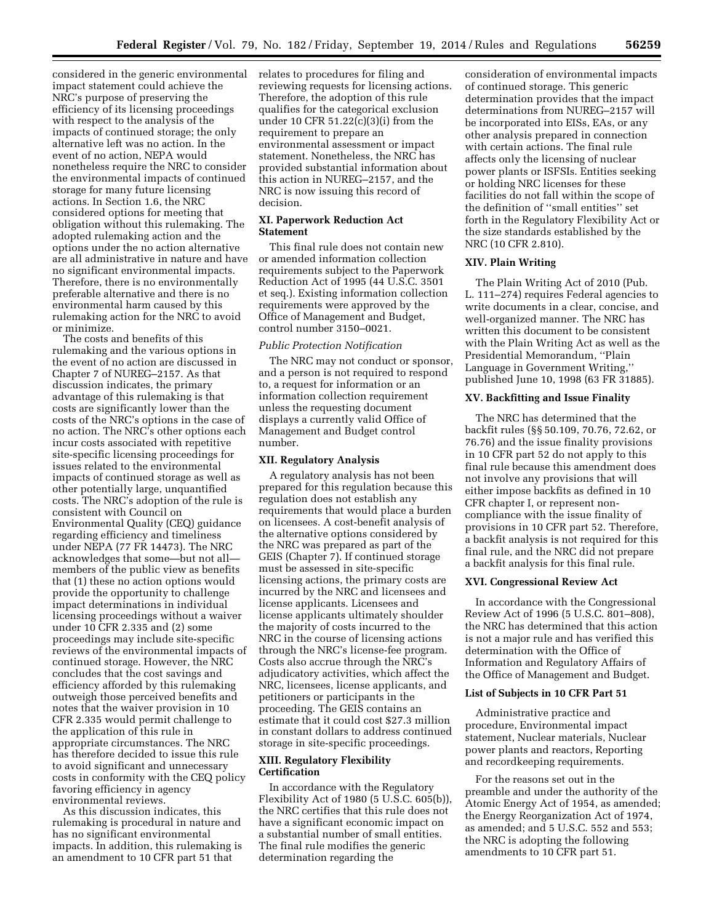considered in the generic environmental impact statement could achieve the NRC's purpose of preserving the efficiency of its licensing proceedings with respect to the analysis of the impacts of continued storage; the only alternative left was no action. In the event of no action, NEPA would nonetheless require the NRC to consider the environmental impacts of continued storage for many future licensing actions. In Section 1.6, the NRC considered options for meeting that obligation without this rulemaking. The adopted rulemaking action and the options under the no action alternative are all administrative in nature and have no significant environmental impacts. Therefore, there is no environmentally preferable alternative and there is no environmental harm caused by this rulemaking action for the NRC to avoid or minimize.

The costs and benefits of this rulemaking and the various options in the event of no action are discussed in Chapter 7 of NUREG–2157. As that discussion indicates, the primary advantage of this rulemaking is that costs are significantly lower than the costs of the NRC's options in the case of no action. The NRC's other options each incur costs associated with repetitive site-specific licensing proceedings for issues related to the environmental impacts of continued storage as well as other potentially large, unquantified costs. The NRC's adoption of the rule is consistent with Council on Environmental Quality (CEQ) guidance regarding efficiency and timeliness under NEPA (77 FR 14473). The NRC acknowledges that some—but not all members of the public view as benefits that (1) these no action options would provide the opportunity to challenge impact determinations in individual licensing proceedings without a waiver under 10 CFR 2.335 and (2) some proceedings may include site-specific reviews of the environmental impacts of continued storage. However, the NRC concludes that the cost savings and efficiency afforded by this rulemaking outweigh those perceived benefits and notes that the waiver provision in 10 CFR 2.335 would permit challenge to the application of this rule in appropriate circumstances. The NRC has therefore decided to issue this rule to avoid significant and unnecessary costs in conformity with the CEQ policy favoring efficiency in agency environmental reviews.

As this discussion indicates, this rulemaking is procedural in nature and has no significant environmental impacts. In addition, this rulemaking is an amendment to 10 CFR part 51 that

relates to procedures for filing and reviewing requests for licensing actions. Therefore, the adoption of this rule qualifies for the categorical exclusion under 10 CFR 51.22(c)(3)(i) from the requirement to prepare an environmental assessment or impact statement. Nonetheless, the NRC has provided substantial information about this action in NUREG–2157, and the NRC is now issuing this record of decision.

### **XI. Paperwork Reduction Act Statement**

This final rule does not contain new or amended information collection requirements subject to the Paperwork Reduction Act of 1995 (44 U.S.C. 3501 et seq.). Existing information collection requirements were approved by the Office of Management and Budget, control number 3150–0021.

#### *Public Protection Notification*

The NRC may not conduct or sponsor, and a person is not required to respond to, a request for information or an information collection requirement unless the requesting document displays a currently valid Office of Management and Budget control number.

### **XII. Regulatory Analysis**

A regulatory analysis has not been prepared for this regulation because this regulation does not establish any requirements that would place a burden on licensees. A cost-benefit analysis of the alternative options considered by the NRC was prepared as part of the GEIS (Chapter 7). If continued storage must be assessed in site-specific licensing actions, the primary costs are incurred by the NRC and licensees and license applicants. Licensees and license applicants ultimately shoulder the majority of costs incurred to the NRC in the course of licensing actions through the NRC's license-fee program. Costs also accrue through the NRC's adjudicatory activities, which affect the NRC, licensees, license applicants, and petitioners or participants in the proceeding. The GEIS contains an estimate that it could cost \$27.3 million in constant dollars to address continued storage in site-specific proceedings.

## **XIII. Regulatory Flexibility Certification**

In accordance with the Regulatory Flexibility Act of 1980 (5 U.S.C. 605(b)), the NRC certifies that this rule does not have a significant economic impact on a substantial number of small entities. The final rule modifies the generic determination regarding the

consideration of environmental impacts of continued storage. This generic determination provides that the impact determinations from NUREG–2157 will be incorporated into EISs, EAs, or any other analysis prepared in connection with certain actions. The final rule affects only the licensing of nuclear power plants or ISFSIs. Entities seeking or holding NRC licenses for these facilities do not fall within the scope of the definition of ''small entities'' set forth in the Regulatory Flexibility Act or the size standards established by the NRC (10 CFR 2.810).

#### **XIV. Plain Writing**

The Plain Writing Act of 2010 (Pub. L. 111–274) requires Federal agencies to write documents in a clear, concise, and well-organized manner. The NRC has written this document to be consistent with the Plain Writing Act as well as the Presidential Memorandum, ''Plain Language in Government Writing,'' published June 10, 1998 (63 FR 31885).

## **XV. Backfitting and Issue Finality**

The NRC has determined that the backfit rules (§§ 50.109, 70.76, 72.62, or 76.76) and the issue finality provisions in 10 CFR part 52 do not apply to this final rule because this amendment does not involve any provisions that will either impose backfits as defined in 10 CFR chapter I, or represent noncompliance with the issue finality of provisions in 10 CFR part 52. Therefore, a backfit analysis is not required for this final rule, and the NRC did not prepare a backfit analysis for this final rule.

#### **XVI. Congressional Review Act**

In accordance with the Congressional Review Act of 1996 (5 U.S.C. 801–808), the NRC has determined that this action is not a major rule and has verified this determination with the Office of Information and Regulatory Affairs of the Office of Management and Budget.

### **List of Subjects in 10 CFR Part 51**

Administrative practice and procedure, Environmental impact statement, Nuclear materials, Nuclear power plants and reactors, Reporting and recordkeeping requirements.

For the reasons set out in the preamble and under the authority of the Atomic Energy Act of 1954, as amended; the Energy Reorganization Act of 1974, as amended; and 5 U.S.C. 552 and 553; the NRC is adopting the following amendments to 10 CFR part 51.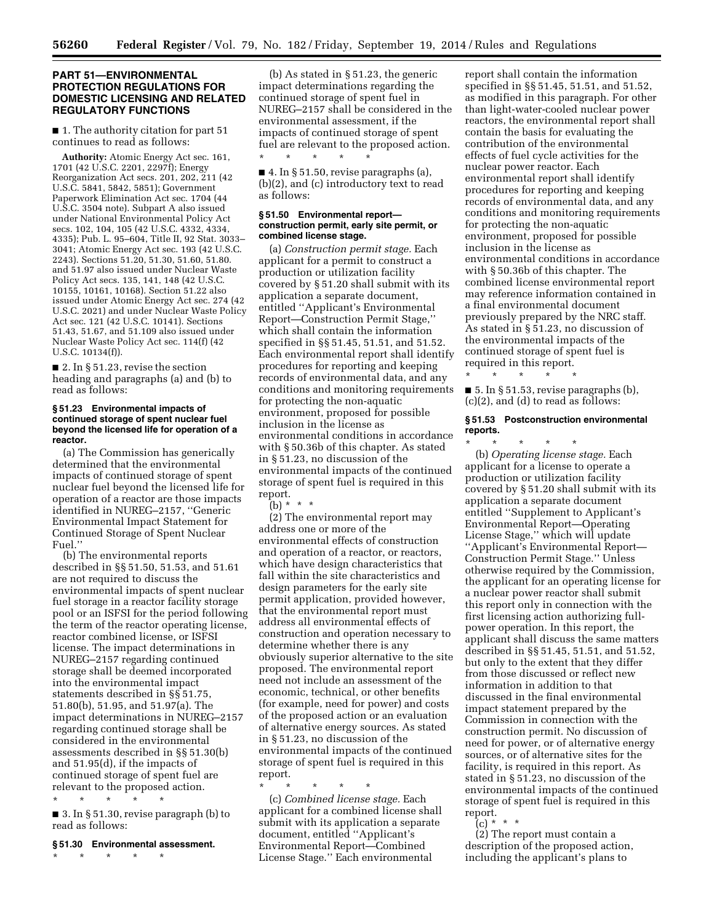\* \* \* \* \*

### **PART 51—ENVIRONMENTAL PROTECTION REGULATIONS FOR DOMESTIC LICENSING AND RELATED REGULATORY FUNCTIONS**

■ 1. The authority citation for part 51 continues to read as follows:

**Authority:** Atomic Energy Act sec. 161, 1701 (42 U.S.C. 2201, 2297f); Energy Reorganization Act secs. 201, 202, 211 (42 U.S.C. 5841, 5842, 5851); Government Paperwork Elimination Act sec. 1704 (44 U.S.C. 3504 note). Subpart A also issued under National Environmental Policy Act secs. 102, 104, 105 (42 U.S.C. 4332, 4334, 4335); Pub. L. 95–604, Title II, 92 Stat. 3033– 3041; Atomic Energy Act sec. 193 (42 U.S.C. 2243). Sections 51.20, 51.30, 51.60, 51.80. and 51.97 also issued under Nuclear Waste Policy Act secs. 135, 141, 148 (42 U.S.C. 10155, 10161, 10168). Section 51.22 also issued under Atomic Energy Act sec. 274 (42 U.S.C. 2021) and under Nuclear Waste Policy Act sec. 121 (42 U.S.C. 10141). Sections 51.43, 51.67, and 51.109 also issued under Nuclear Waste Policy Act sec. 114(f) (42 U.S.C. 10134(f)).

■ 2. In § 51.23, revise the section heading and paragraphs (a) and (b) to read as follows:

#### **§ 51.23 Environmental impacts of continued storage of spent nuclear fuel beyond the licensed life for operation of a reactor.**

(a) The Commission has generically determined that the environmental impacts of continued storage of spent nuclear fuel beyond the licensed life for operation of a reactor are those impacts identified in NUREG–2157, ''Generic Environmental Impact Statement for Continued Storage of Spent Nuclear Fuel.''

(b) The environmental reports described in §§ 51.50, 51.53, and 51.61 are not required to discuss the environmental impacts of spent nuclear fuel storage in a reactor facility storage pool or an ISFSI for the period following the term of the reactor operating license, reactor combined license, or ISFSI license. The impact determinations in NUREG–2157 regarding continued storage shall be deemed incorporated into the environmental impact statements described in §§ 51.75, 51.80(b), 51.95, and 51.97(a). The impact determinations in NUREG–2157 regarding continued storage shall be considered in the environmental assessments described in §§ 51.30(b) and 51.95(d), if the impacts of continued storage of spent fuel are relevant to the proposed action. \* \* \* \* \*

■ 3. In § 51.30, revise paragraph (b) to read as follows:

## **§ 51.30 Environmental assessment.**

\* \* \* \* \*

(b) As stated in § 51.23, the generic impact determinations regarding the continued storage of spent fuel in NUREG–2157 shall be considered in the environmental assessment, if the impacts of continued storage of spent fuel are relevant to the proposed action.

 $\blacksquare$  4. In § 51.50, revise paragraphs (a), (b)(2), and (c) introductory text to read as follows:

#### **§ 51.50 Environmental report construction permit, early site permit, or combined license stage.**

(a) *Construction permit stage.* Each applicant for a permit to construct a production or utilization facility covered by § 51.20 shall submit with its application a separate document, entitled ''Applicant's Environmental Report—Construction Permit Stage,'' which shall contain the information specified in §§ 51.45, 51.51, and 51.52. Each environmental report shall identify procedures for reporting and keeping records of environmental data, and any conditions and monitoring requirements for protecting the non-aquatic environment, proposed for possible inclusion in the license as environmental conditions in accordance with § 50.36b of this chapter. As stated in § 51.23, no discussion of the environmental impacts of the continued storage of spent fuel is required in this report.

(b) \* \* \*

(2) The environmental report may address one or more of the environmental effects of construction and operation of a reactor, or reactors, which have design characteristics that fall within the site characteristics and design parameters for the early site permit application, provided however, that the environmental report must address all environmental effects of construction and operation necessary to determine whether there is any obviously superior alternative to the site proposed. The environmental report need not include an assessment of the economic, technical, or other benefits (for example, need for power) and costs of the proposed action or an evaluation of alternative energy sources. As stated in § 51.23, no discussion of the environmental impacts of the continued storage of spent fuel is required in this report.

\* \* \* \* \* (c) *Combined license stage.* Each applicant for a combined license shall submit with its application a separate document, entitled ''Applicant's Environmental Report—Combined License Stage.'' Each environmental

report shall contain the information specified in §§ 51.45, 51.51, and 51.52, as modified in this paragraph. For other than light-water-cooled nuclear power reactors, the environmental report shall contain the basis for evaluating the contribution of the environmental effects of fuel cycle activities for the nuclear power reactor. Each environmental report shall identify procedures for reporting and keeping records of environmental data, and any conditions and monitoring requirements for protecting the non-aquatic environment, proposed for possible inclusion in the license as environmental conditions in accordance with § 50.36b of this chapter. The combined license environmental report may reference information contained in a final environmental document previously prepared by the NRC staff. As stated in § 51.23, no discussion of the environmental impacts of the continued storage of spent fuel is required in this report.

■ 5. In § 51.53, revise paragraphs (b), (c)(2), and (d) to read as follows:

\* \* \* \* \*

#### **§ 51.53 Postconstruction environmental reports.**

\* \* \* \* \* (b) *Operating license stage.* Each applicant for a license to operate a production or utilization facility covered by § 51.20 shall submit with its application a separate document entitled ''Supplement to Applicant's Environmental Report—Operating License Stage,'' which will update ''Applicant's Environmental Report— Construction Permit Stage.'' Unless otherwise required by the Commission, the applicant for an operating license for a nuclear power reactor shall submit this report only in connection with the first licensing action authorizing fullpower operation. In this report, the applicant shall discuss the same matters described in §§ 51.45, 51.51, and 51.52, but only to the extent that they differ from those discussed or reflect new information in addition to that discussed in the final environmental impact statement prepared by the Commission in connection with the construction permit. No discussion of need for power, or of alternative energy sources, or of alternative sites for the facility, is required in this report. As stated in § 51.23, no discussion of the environmental impacts of the continued storage of spent fuel is required in this report.

 $(c) * * * *$ 

(2) The report must contain a description of the proposed action, including the applicant's plans to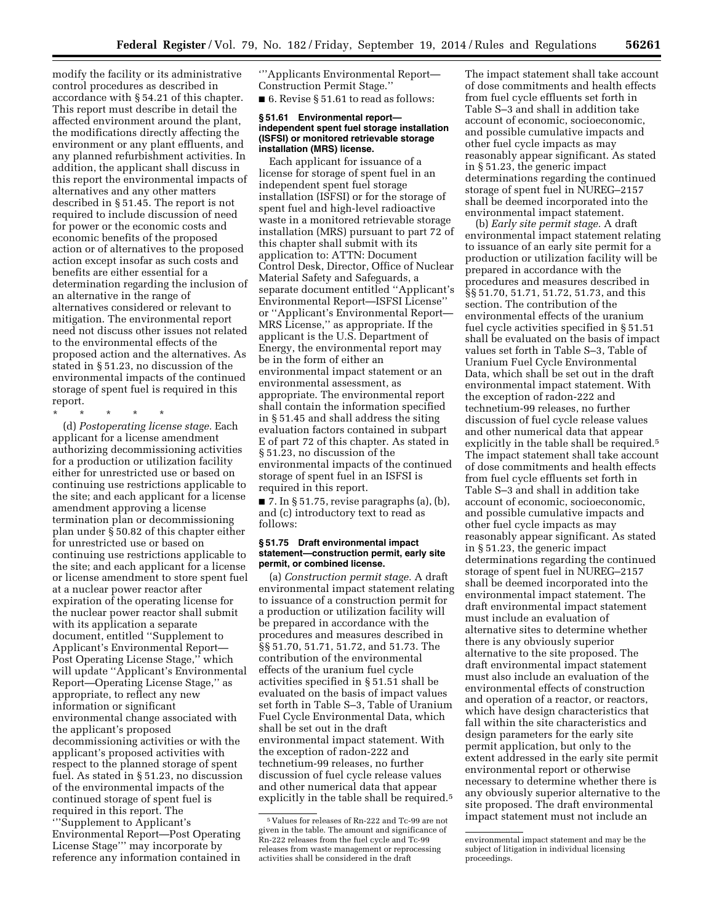modify the facility or its administrative control procedures as described in accordance with § 54.21 of this chapter. This report must describe in detail the affected environment around the plant, the modifications directly affecting the environment or any plant effluents, and any planned refurbishment activities. In addition, the applicant shall discuss in this report the environmental impacts of alternatives and any other matters described in § 51.45. The report is not required to include discussion of need for power or the economic costs and economic benefits of the proposed action or of alternatives to the proposed action except insofar as such costs and benefits are either essential for a determination regarding the inclusion of an alternative in the range of alternatives considered or relevant to mitigation. The environmental report need not discuss other issues not related to the environmental effects of the proposed action and the alternatives. As stated in § 51.23, no discussion of the environmental impacts of the continued storage of spent fuel is required in this report.

\* \* \* \* \*

(d) *Postoperating license stage.* Each applicant for a license amendment authorizing decommissioning activities for a production or utilization facility either for unrestricted use or based on continuing use restrictions applicable to the site; and each applicant for a license amendment approving a license termination plan or decommissioning plan under § 50.82 of this chapter either for unrestricted use or based on continuing use restrictions applicable to the site; and each applicant for a license or license amendment to store spent fuel at a nuclear power reactor after expiration of the operating license for the nuclear power reactor shall submit with its application a separate document, entitled ''Supplement to Applicant's Environmental Report— Post Operating License Stage,'' which will update ''Applicant's Environmental Report—Operating License Stage,'' as appropriate, to reflect any new information or significant environmental change associated with the applicant's proposed decommissioning activities or with the applicant's proposed activities with respect to the planned storage of spent fuel. As stated in § 51.23, no discussion of the environmental impacts of the continued storage of spent fuel is required in this report. The '''Supplement to Applicant's

Environmental Report—Post Operating License Stage''' may incorporate by reference any information contained in

'''Applicants Environmental Report— Construction Permit Stage.''

■ 6. Revise § 51.61 to read as follows:

#### **§ 51.61 Environmental report independent spent fuel storage installation (ISFSI) or monitored retrievable storage installation (MRS) license.**

Each applicant for issuance of a license for storage of spent fuel in an independent spent fuel storage installation (ISFSI) or for the storage of spent fuel and high-level radioactive waste in a monitored retrievable storage installation (MRS) pursuant to part 72 of this chapter shall submit with its application to: ATTN: Document Control Desk, Director, Office of Nuclear Material Safety and Safeguards, a separate document entitled ''Applicant's Environmental Report—ISFSI License'' or ''Applicant's Environmental Report— MRS License,'' as appropriate. If the applicant is the U.S. Department of Energy, the environmental report may be in the form of either an environmental impact statement or an environmental assessment, as appropriate. The environmental report shall contain the information specified in § 51.45 and shall address the siting evaluation factors contained in subpart E of part 72 of this chapter. As stated in § 51.23, no discussion of the environmental impacts of the continued storage of spent fuel in an ISFSI is required in this report.

 $\blacksquare$  7. In § 51.75, revise paragraphs (a), (b), and (c) introductory text to read as follows:

#### **§ 51.75 Draft environmental impact statement—construction permit, early site permit, or combined license.**

(a) *Construction permit stage.* A draft environmental impact statement relating to issuance of a construction permit for a production or utilization facility will be prepared in accordance with the procedures and measures described in §§ 51.70, 51.71, 51.72, and 51.73. The contribution of the environmental effects of the uranium fuel cycle activities specified in § 51.51 shall be evaluated on the basis of impact values set forth in Table S–3, Table of Uranium Fuel Cycle Environmental Data, which shall be set out in the draft environmental impact statement. With the exception of radon-222 and technetium-99 releases, no further discussion of fuel cycle release values and other numerical data that appear explicitly in the table shall be required.<sup>5</sup>

The impact statement shall take account of dose commitments and health effects from fuel cycle effluents set forth in Table S–3 and shall in addition take account of economic, socioeconomic, and possible cumulative impacts and other fuel cycle impacts as may reasonably appear significant. As stated in § 51.23, the generic impact determinations regarding the continued storage of spent fuel in NUREG–2157 shall be deemed incorporated into the environmental impact statement.

(b) *Early site permit stage.* A draft environmental impact statement relating to issuance of an early site permit for a production or utilization facility will be prepared in accordance with the procedures and measures described in §§ 51.70, 51.71, 51.72, 51.73, and this section. The contribution of the environmental effects of the uranium fuel cycle activities specified in § 51.51 shall be evaluated on the basis of impact values set forth in Table S–3, Table of Uranium Fuel Cycle Environmental Data, which shall be set out in the draft environmental impact statement. With the exception of radon-222 and technetium-99 releases, no further discussion of fuel cycle release values and other numerical data that appear explicitly in the table shall be required.<sup>5</sup> The impact statement shall take account of dose commitments and health effects from fuel cycle effluents set forth in Table S–3 and shall in addition take account of economic, socioeconomic, and possible cumulative impacts and other fuel cycle impacts as may reasonably appear significant. As stated in § 51.23, the generic impact determinations regarding the continued storage of spent fuel in NUREG–2157 shall be deemed incorporated into the environmental impact statement. The draft environmental impact statement must include an evaluation of alternative sites to determine whether there is any obviously superior alternative to the site proposed. The draft environmental impact statement must also include an evaluation of the environmental effects of construction and operation of a reactor, or reactors, which have design characteristics that fall within the site characteristics and design parameters for the early site permit application, but only to the extent addressed in the early site permit environmental report or otherwise necessary to determine whether there is any obviously superior alternative to the site proposed. The draft environmental impact statement must not include an

<sup>5</sup> Values for releases of Rn-222 and Tc-99 are not given in the table. The amount and significance of Rn-222 releases from the fuel cycle and Tc-99 releases from waste management or reprocessing activities shall be considered in the draft

environmental impact statement and may be the subject of litigation in individual licensing proceedings.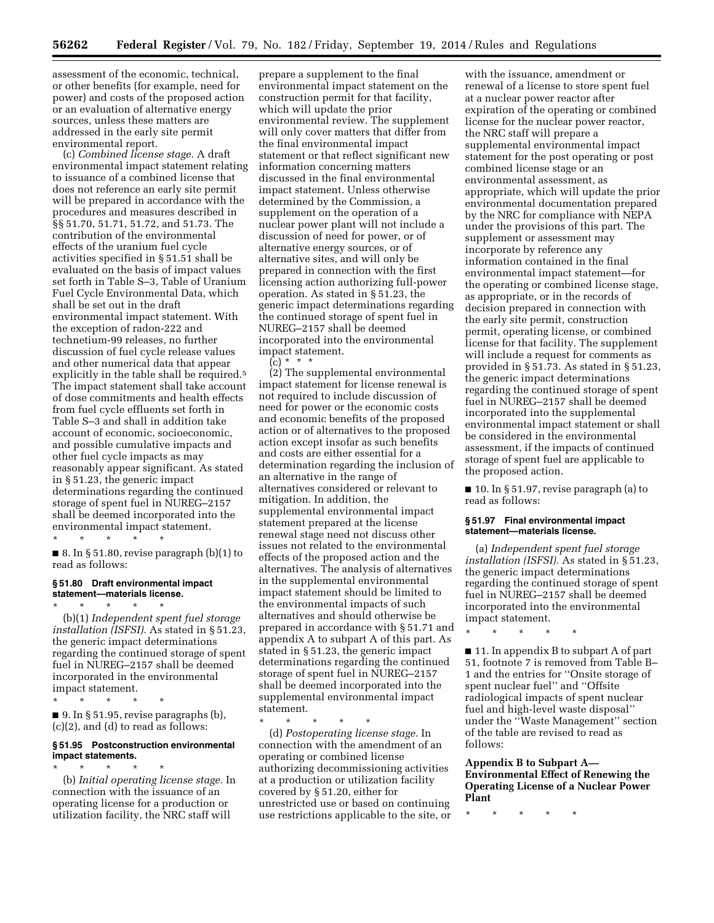assessment of the economic, technical, or other benefits (for example, need for power) and costs of the proposed action or an evaluation of alternative energy sources, unless these matters are addressed in the early site permit environmental report.

(c) *Combined license stage.* A draft environmental impact statement relating to issuance of a combined license that does not reference an early site permit will be prepared in accordance with the procedures and measures described in §§ 51.70, 51.71, 51.72, and 51.73. The contribution of the environmental effects of the uranium fuel cycle activities specified in § 51.51 shall be evaluated on the basis of impact values set forth in Table S–3, Table of Uranium Fuel Cycle Environmental Data, which shall be set out in the draft environmental impact statement. With the exception of radon-222 and technetium-99 releases, no further discussion of fuel cycle release values and other numerical data that appear explicitly in the table shall be required.<sup>5</sup> The impact statement shall take account of dose commitments and health effects from fuel cycle effluents set forth in Table S–3 and shall in addition take account of economic, socioeconomic, and possible cumulative impacts and other fuel cycle impacts as may reasonably appear significant. As stated in § 51.23, the generic impact determinations regarding the continued storage of spent fuel in NUREG–2157 shall be deemed incorporated into the environmental impact statement. \* \* \* \* \*

 $\blacksquare$  8. In § 51.80, revise paragraph (b)(1) to read as follows:

### **§ 51.80 Draft environmental impact statement—materials license.**

\* \* \* \* \* (b)(1) *Independent spent fuel storage installation (ISFSI).* As stated in § 51.23, the generic impact determinations regarding the continued storage of spent fuel in NUREG–2157 shall be deemed incorporated in the environmental impact statement.

\* \* \* \* \*

\* \* \* \* \*

 $\blacksquare$  9. In § 51.95, revise paragraphs (b), (c)(2), and (d) to read as follows:

#### **§ 51.95 Postconstruction environmental impact statements.**

(b) *Initial operating license stage.* In connection with the issuance of an operating license for a production or utilization facility, the NRC staff will

prepare a supplement to the final environmental impact statement on the construction permit for that facility, which will update the prior environmental review. The supplement will only cover matters that differ from the final environmental impact statement or that reflect significant new information concerning matters discussed in the final environmental impact statement. Unless otherwise determined by the Commission, a supplement on the operation of a nuclear power plant will not include a discussion of need for power, or of alternative energy sources, or of alternative sites, and will only be prepared in connection with the first licensing action authorizing full-power operation. As stated in § 51.23, the generic impact determinations regarding the continued storage of spent fuel in NUREG–2157 shall be deemed incorporated into the environmental impact statement.  $(c) * *$ 

(2) The supplemental environmental impact statement for license renewal is not required to include discussion of need for power or the economic costs and economic benefits of the proposed action or of alternatives to the proposed action except insofar as such benefits and costs are either essential for a determination regarding the inclusion of an alternative in the range of alternatives considered or relevant to mitigation. In addition, the supplemental environmental impact statement prepared at the license renewal stage need not discuss other issues not related to the environmental effects of the proposed action and the alternatives. The analysis of alternatives in the supplemental environmental impact statement should be limited to the environmental impacts of such alternatives and should otherwise be prepared in accordance with § 51.71 and appendix A to subpart A of this part. As stated in § 51.23, the generic impact determinations regarding the continued storage of spent fuel in NUREG–2157 shall be deemed incorporated into the supplemental environmental impact statement.

\* \* \* \* \*

(d) *Postoperating license stage.* In connection with the amendment of an operating or combined license authorizing decommissioning activities at a production or utilization facility covered by § 51.20, either for unrestricted use or based on continuing use restrictions applicable to the site, or

with the issuance, amendment or renewal of a license to store spent fuel at a nuclear power reactor after expiration of the operating or combined license for the nuclear power reactor, the NRC staff will prepare a supplemental environmental impact statement for the post operating or post combined license stage or an environmental assessment, as appropriate, which will update the prior environmental documentation prepared by the NRC for compliance with NEPA under the provisions of this part. The supplement or assessment may incorporate by reference any information contained in the final environmental impact statement—for the operating or combined license stage, as appropriate, or in the records of decision prepared in connection with the early site permit, construction permit, operating license, or combined license for that facility. The supplement will include a request for comments as provided in § 51.73. As stated in § 51.23, the generic impact determinations regarding the continued storage of spent fuel in NUREG–2157 shall be deemed incorporated into the supplemental environmental impact statement or shall be considered in the environmental assessment, if the impacts of continued storage of spent fuel are applicable to the proposed action.

■ 10. In § 51.97, revise paragraph (a) to read as follows:

#### **§ 51.97 Final environmental impact statement—materials license.**

(a) *Independent spent fuel storage installation (ISFSI).* As stated in § 51.23, the generic impact determinations regarding the continued storage of spent fuel in NUREG–2157 shall be deemed incorporated into the environmental impact statement.

\* \* \* \* \*

■ 11. In appendix B to subpart A of part 51, footnote 7 is removed from Table B– 1 and the entries for ''Onsite storage of spent nuclear fuel'' and ''Offsite radiological impacts of spent nuclear fuel and high-level waste disposal'' under the ''Waste Management'' section of the table are revised to read as follows:

### **Appendix B to Subpart A— Environmental Effect of Renewing the Operating License of a Nuclear Power Plant**

\* \* \* \* \*